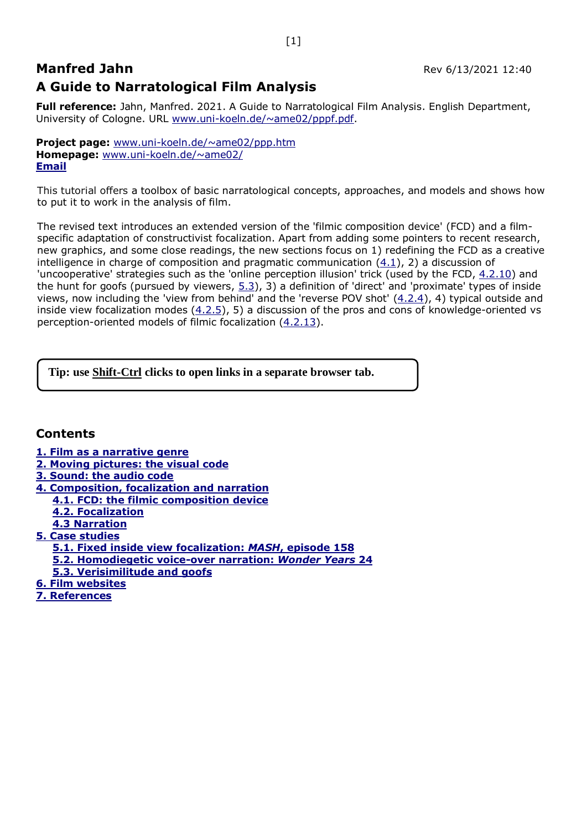# **Manfred Jahn** Rev 6/13/2021 12:40 **A Guide to Narratological Film Analysis**

**Full reference:** Jahn, Manfred. 2021. A Guide to Narratological Film Analysis. English Department, University of Cologne. URL [www.uni-koeln.de/~ame02/pppf.pdf.](http://www.uni-koeln.de/~ame02/pppf.pdf)

**Project page:** [www.uni-koeln.de/~ame02/ppp.htm](http://www.uni-koeln.de/~ame02/ppp.htm) **Homepage:** [www.uni-koeln.de/~ame02/](http://www.uni-koeln.de/~ame02/) **[Email](mailto:manfred,jahn@uni-koeln.de?subject=Film%20Analysis)**

This tutorial offers a toolbox of basic narratological concepts, approaches, and models and shows how to put it to work in the analysis of film.

The revised text introduces an extended version of the 'filmic composition device' (FCD) and a filmspecific adaptation of constructivist focalization. Apart from adding some pointers to recent research, new graphics, and some close readings, the new sections focus on 1) redefining the FCD as a creative intelligence in charge of composition and pragmatic communication [\(4.1\)](#page-6-0), 2) a discussion of 'uncooperative' strategies such as the 'online perception illusion' trick (used by the FCD, [4.2.10\)](#page-13-0) and the hunt for goofs (pursued by viewers,  $5.3$ ), 3) a definition of 'direct' and 'proximate' types of inside views, now including the 'view from behind' and the 'reverse POV shot'  $(4.2.4)$ , 4) typical outside and inside view focalization modes  $(4.2.5)$ , 5) a discussion of the pros and cons of knowledge-oriented vs perception-oriented models of filmic focalization [\(4.2.13\)](#page-14-0).

**Tip: use Shift-Ctrl clicks to open links in a separate browser tab.** 

## **Contents**

- **[1. Film as a narrative genre](#page-1-0)**
- **[2. Moving pictures: the visual code](#page-2-0)**
- **[3. Sound: the audio code](#page-5-0)**
- **[4. Composition, focalization and narration](#page-5-1)**
- **[4.1. FCD: the filmic composition device](#page-6-0)**
- **[4.2. Focalization](#page-8-0)**
- **[4.3 Narration](#page-15-0)**
- **[5. Case studies](#page-17-0)**
	- **[5.1. Fixed inside view focalization:](#page-17-1)** *MASH***, episode 158**
	- **[5.2. Homodiegetic voice-over narration:](#page-18-0)** *Wonder Years* **24**
	- **[5.3. Verisimilitude and goofs](#page-20-0)**
- **[6. Film websites](#page-23-0)**
- **[7. References](#page-23-1)**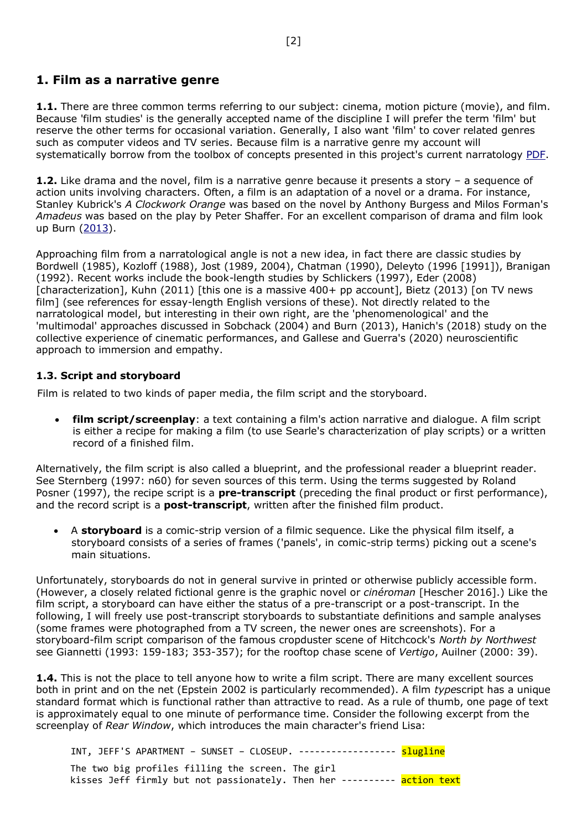## <span id="page-1-0"></span>**1. Film as a narrative genre**

**1.1.** There are three common terms referring to our subject: cinema, motion picture (movie), and film. Because 'film studies' is the generally accepted name of the discipline I will prefer the term 'film' but reserve the other terms for occasional variation. Generally, I also want 'film' to cover related genres such as computer videos and TV series. Because film is a narrative genre my account will systematically borrow from the toolbox of concepts presented in this project's current narratology [PDF.](http://www.uni-koeln.de/~ame02/pppn.pdf)

**1.2.** Like drama and the novel, film is a narrative genre because it presents a story – a sequence of action units involving characters. Often, a film is an adaptation of a novel or a drama. For instance, Stanley Kubrick's *A Clockwork Orange* was based on the novel by Anthony Burgess and Milos Forman's *Amadeus* was based on the play by Peter Shaffer. For an excellent comparison of drama and film look up Burn [\(2013\)](http://eprints.ncrm.ac.uk/3085/1/KINEIKONIC_MODE.pdf).

Approaching film from a narratological angle is not a new idea, in fact there are classic studies by Bordwell (1985), Kozloff (1988), Jost (1989, 2004), Chatman (1990), Deleyto (1996 [1991]), Branigan (1992). Recent works include the book-length studies by Schlickers (1997), Eder (2008) [characterization], Kuhn (2011) [this one is a massive 400+ pp account], Bietz (2013) [on TV news film] (see references for essay-length English versions of these). Not directly related to the narratological model, but interesting in their own right, are the 'phenomenological' and the 'multimodal' approaches discussed in Sobchack (2004) and Burn (2013), Hanich's (2018) study on the collective experience of cinematic performances, and Gallese and Guerra's (2020) neuroscientific approach to immersion and empathy.

### **1.3. Script and storyboard**

Film is related to two kinds of paper media, the film script and the storyboard.

• **film script/screenplay**: a text containing a film's action narrative and dialogue. A film script is either a recipe for making a film (to use Searle's characterization of play scripts) or a written record of a finished film.

Alternatively, the film script is also called a blueprint, and the professional reader a blueprint reader. See Sternberg (1997: n60) for seven sources of this term. Using the terms suggested by Roland Posner (1997), the recipe script is a **pre-transcript** (preceding the final product or first performance), and the record script is a **post-transcript**, written after the finished film product.

• A **storyboard** is a comic-strip version of a filmic sequence. Like the physical film itself, a storyboard consists of a series of frames ('panels', in comic-strip terms) picking out a scene's main situations.

Unfortunately, storyboards do not in general survive in printed or otherwise publicly accessible form. (However, a closely related fictional genre is the graphic novel or *cinéroman* [Hescher 2016].) Like the film script, a storyboard can have either the status of a pre-transcript or a post-transcript. In the following, I will freely use post-transcript storyboards to substantiate definitions and sample analyses (some frames were photographed from a TV screen, the newer ones are screenshots). For a storyboard-film script comparison of the famous cropduster scene of Hitchcock's *North by Northwest* see Giannetti (1993: 159-183; 353-357); for the rooftop chase scene of *Vertigo*, Auilner (2000: 39).

**1.4.** This is not the place to tell anyone how to write a film script. There are many excellent sources both in print and on the net (Epstein 2002 is particularly recommended). A film *type*script has a unique standard format which is functional rather than attractive to read. As a rule of thumb, one page of text is approximately equal to one minute of performance time. Consider the following excerpt from the screenplay of *Rear Window*, which introduces the main character's friend Lisa:

INT, JEFF'S APARTMENT – SUNSET – CLOSEUP. ------------------ slugline The two big profiles filling the screen. The girl kisses Jeff firmly but not passionately. Then her ---------- action text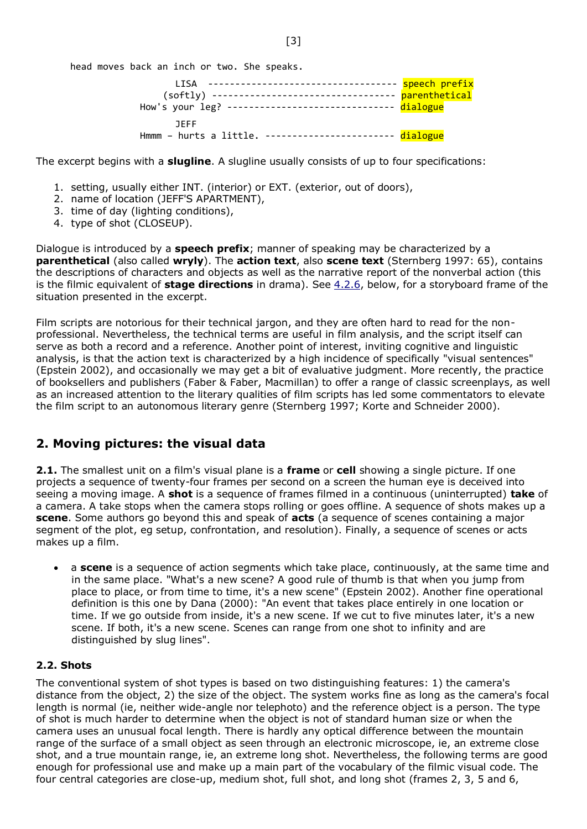head moves back an inch or two. She speaks.

| I TSA<br>(softly) -----------------------------------<br>How's your leg? ------------------------------ dialogue | speech prefix<br>parenthetical |
|------------------------------------------------------------------------------------------------------------------|--------------------------------|
| <b>JEFF</b><br>Hmmm - hurts a little. ------------------------ dialogue                                          |                                |

The excerpt begins with a **slugline**. A slugline usually consists of up to four specifications:

- 1. setting, usually either INT. (interior) or EXT. (exterior, out of doors),
- 2. name of location (JEFF'S APARTMENT),
- 3. time of day (lighting conditions),
- 4. type of shot (CLOSEUP).

Dialogue is introduced by a **speech prefix**; manner of speaking may be characterized by a **parenthetical** (also called **wryly**). The **action text**, also **scene text** (Sternberg 1997: 65), contains the descriptions of characters and objects as well as the narrative report of the nonverbal action (this is the filmic equivalent of **stage directions** in drama). See [4.2.6,](#page-11-1) below, for a storyboard frame of the situation presented in the excerpt.

Film scripts are notorious for their technical jargon, and they are often hard to read for the nonprofessional. Nevertheless, the technical terms are useful in film analysis, and the script itself can serve as both a record and a reference. Another point of interest, inviting cognitive and linguistic analysis, is that the action text is characterized by a high incidence of specifically "visual sentences" (Epstein 2002), and occasionally we may get a bit of evaluative judgment. More recently, the practice of booksellers and publishers (Faber & Faber, Macmillan) to offer a range of classic screenplays, as well as an increased attention to the literary qualities of film scripts has led some commentators to elevate the film script to an autonomous literary genre (Sternberg 1997; Korte and Schneider 2000).

## <span id="page-2-0"></span>**2. Moving pictures: the visual data**

**2.1.** The smallest unit on a film's visual plane is a **frame** or **cell** showing a single picture. If one projects a sequence of twenty-four frames per second on a screen the human eye is deceived into seeing a moving image. A **shot** is a sequence of frames filmed in a continuous (uninterrupted) **take** of a camera. A take stops when the camera stops rolling or goes offline. A sequence of shots makes up a **scene**. Some authors go beyond this and speak of **acts** (a sequence of scenes containing a major segment of the plot, eg setup, confrontation, and resolution). Finally, a sequence of scenes or acts makes up a film.

• a **scene** is a sequence of action segments which take place, continuously, at the same time and in the same place. "What's a new scene? A good rule of thumb is that when you jump from place to place, or from time to time, it's a new scene" (Epstein 2002). Another fine operational definition is this one by Dana (2000): "An event that takes place entirely in one location or time. If we go outside from inside, it's a new scene. If we cut to five minutes later, it's a new scene. If both, it's a new scene. Scenes can range from one shot to infinity and are distinguished by slug lines".

#### **2.2. Shots**

The conventional system of shot types is based on two distinguishing features: 1) the camera's distance from the object, 2) the size of the object. The system works fine as long as the camera's focal length is normal (ie, neither wide-angle nor telephoto) and the reference object is a person. The type of shot is much harder to determine when the object is not of standard human size or when the camera uses an unusual focal length. There is hardly any optical difference between the mountain range of the surface of a small object as seen through an electronic microscope, ie, an extreme close shot, and a true mountain range, ie, an extreme long shot. Nevertheless, the following terms are good enough for professional use and make up a main part of the vocabulary of the filmic visual code. The four central categories are close-up, medium shot, full shot, and long shot (frames 2, 3, 5 and 6,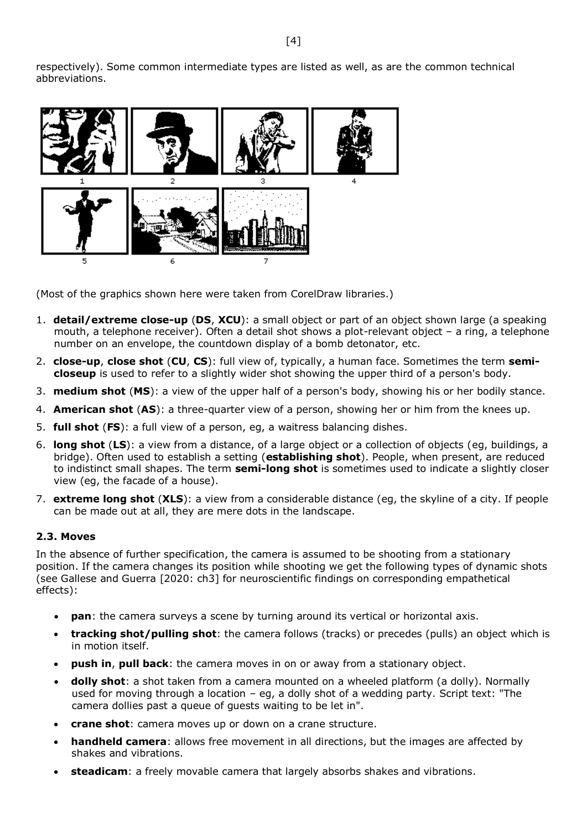respectively). Some common intermediate types are listed as well, as are the common technical abbreviations.



(Most of the graphics shown here were taken from CorelDraw libraries.)

- 1. **detail/extreme close-up** (**DS**, **XCU**): a small object or part of an object shown large (a speaking mouth, a telephone receiver). Often a detail shot shows a plot-relevant object – a ring, a telephone number on an envelope, the countdown display of a bomb detonator, etc.
- 2. **close-up**, **close shot** (**CU**, **CS**): full view of, typically, a human face. Sometimes the term **semicloseup** is used to refer to a slightly wider shot showing the upper third of a person's body.
- 3. **medium shot** (**MS**): a view of the upper half of a person's body, showing his or her bodily stance.
- 4. **American shot** (**AS**): a three-quarter view of a person, showing her or him from the knees up.
- 5. **full shot** (**FS**): a full view of a person, eg, a waitress balancing dishes.
- 6. **long shot** (**LS**): a view from a distance, of a large object or a collection of objects (eg, buildings, a bridge). Often used to establish a setting (**establishing shot**). People, when present, are reduced to indistinct small shapes. The term **semi-long shot** is sometimes used to indicate a slightly closer view (eg, the facade of a house).
- 7. **extreme long shot** (**XLS**): a view from a considerable distance (eg, the skyline of a city. If people can be made out at all, they are mere dots in the landscape.

#### **2.3. Moves**

In the absence of further specification, the camera is assumed to be shooting from a stationary position. If the camera changes its position while shooting we get the following types of dynamic shots (see Gallese and Guerra [2020: ch3] for neuroscientific findings on corresponding empathetical effects):

- **pan**: the camera surveys a scene by turning around its vertical or horizontal axis.
- **tracking shot/pulling shot**: the camera follows (tracks) or precedes (pulls) an object which is in motion itself.
- **push in**, **pull back**: the camera moves in on or away from a stationary object.
- **dolly shot**: a shot taken from a camera mounted on a wheeled platform (a dolly). Normally used for moving through a location – eg, a dolly shot of a wedding party. Script text: "The camera dollies past a queue of guests waiting to be let in".
- **crane shot**: camera moves up or down on a crane structure.
- **handheld camera**: allows free movement in all directions, but the images are affected by shakes and vibrations.
- **steadicam**: a freely movable camera that largely absorbs shakes and vibrations.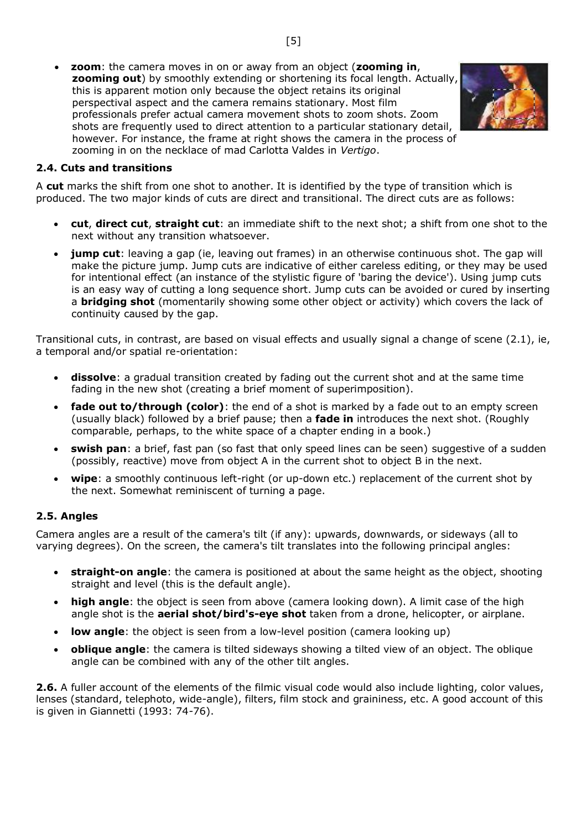• **zoom**: the camera moves in on or away from an object (**zooming in**, **zooming out**) by smoothly extending or shortening its focal length. Actually, this is apparent motion only because the object retains its original perspectival aspect and the camera remains stationary. Most film professionals prefer actual camera movement shots to zoom shots. Zoom shots are frequently used to direct attention to a particular stationary detail, however. For instance, the frame at right shows the camera in the process of zooming in on the necklace of mad Carlotta Valdes in *Vertigo*.



#### **2.4. Cuts and transitions**

A **cut** marks the shift from one shot to another. It is identified by the type of transition which is produced. The two major kinds of cuts are direct and transitional. The direct cuts are as follows:

- **cut**, **direct cut**, **straight cut**: an immediate shift to the next shot; a shift from one shot to the next without any transition whatsoever.
- **jump cut**: leaving a gap (ie, leaving out frames) in an otherwise continuous shot. The gap will make the picture jump. Jump cuts are indicative of either careless editing, or they may be used for intentional effect (an instance of the stylistic figure of 'baring the device'). Using jump cuts is an easy way of cutting a long sequence short. Jump cuts can be avoided or cured by inserting a **bridging shot** (momentarily showing some other object or activity) which covers the lack of continuity caused by the gap.

Transitional cuts, in contrast, are based on visual effects and usually signal a change of scene (2.1), ie, a temporal and/or spatial re-orientation:

- **dissolve**: a gradual transition created by fading out the current shot and at the same time fading in the new shot (creating a brief moment of superimposition).
- **fade out to/through (color)**: the end of a shot is marked by a fade out to an empty screen (usually black) followed by a brief pause; then a **fade in** introduces the next shot. (Roughly comparable, perhaps, to the white space of a chapter ending in a book.)
- **swish pan**: a brief, fast pan (so fast that only speed lines can be seen) suggestive of a sudden (possibly, reactive) move from object A in the current shot to object B in the next.
- **wipe**: a smoothly continuous left-right (or up-down etc.) replacement of the current shot by the next. Somewhat reminiscent of turning a page.

#### **2.5. Angles**

Camera angles are a result of the camera's tilt (if any): upwards, downwards, or sideways (all to varying degrees). On the screen, the camera's tilt translates into the following principal angles:

- **straight-on angle**: the camera is positioned at about the same height as the object, shooting straight and level (this is the default angle).
- **high angle**: the object is seen from above (camera looking down). A limit case of the high angle shot is the **aerial shot/bird's-eye shot** taken from a drone, helicopter, or airplane.
- **low angle**: the object is seen from a low-level position (camera looking up)
- **oblique angle**: the camera is tilted sideways showing a tilted view of an object. The oblique angle can be combined with any of the other tilt angles.

**2.6.** A fuller account of the elements of the filmic visual code would also include lighting, color values, lenses (standard, telephoto, wide-angle), filters, film stock and graininess, etc. A good account of this is given in Giannetti (1993: 74-76).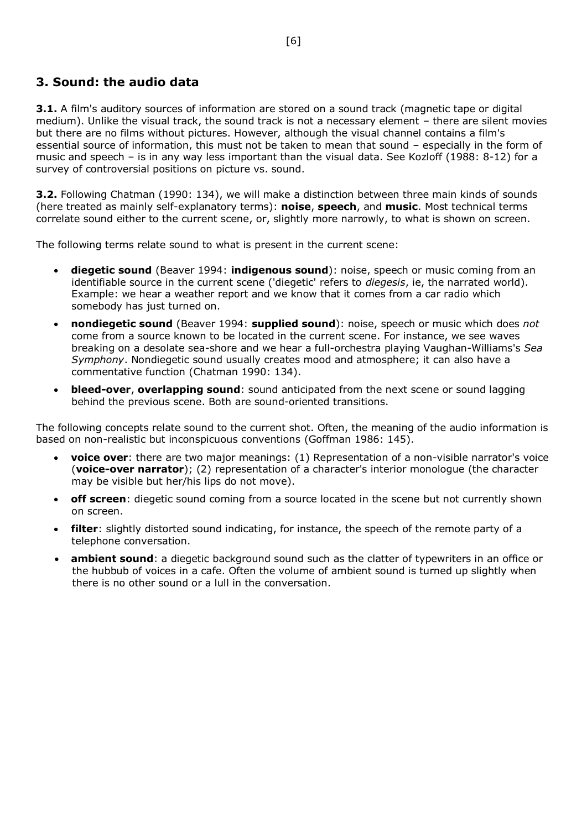## <span id="page-5-0"></span>**3. Sound: the audio data**

**3.1.** A film's auditory sources of information are stored on a sound track (magnetic tape or digital medium). Unlike the visual track, the sound track is not a necessary element – there are silent movies but there are no films without pictures. However, although the visual channel contains a film's essential source of information, this must not be taken to mean that sound – especially in the form of music and speech – is in any way less important than the visual data. See Kozloff (1988: 8-12) for a survey of controversial positions on picture vs. sound.

**3.2.** Following Chatman (1990: 134), we will make a distinction between three main kinds of sounds (here treated as mainly self-explanatory terms): **noise**, **speech**, and **music**. Most technical terms correlate sound either to the current scene, or, slightly more narrowly, to what is shown on screen.

The following terms relate sound to what is present in the current scene:

- **diegetic sound** (Beaver 1994: **indigenous sound**): noise, speech or music coming from an identifiable source in the current scene ('diegetic' refers to *diegesis*, ie, the narrated world). Example: we hear a weather report and we know that it comes from a car radio which somebody has just turned on.
- **nondiegetic sound** (Beaver 1994: **supplied sound**): noise, speech or music which does *not* come from a source known to be located in the current scene. For instance, we see waves breaking on a desolate sea-shore and we hear a full-orchestra playing Vaughan-Williams's *Sea Symphony*. Nondiegetic sound usually creates mood and atmosphere; it can also have a commentative function (Chatman 1990: 134).
- **bleed-over**, **overlapping sound**: sound anticipated from the next scene or sound lagging behind the previous scene. Both are sound-oriented transitions.

The following concepts relate sound to the current shot. Often, the meaning of the audio information is based on non-realistic but inconspicuous conventions (Goffman 1986: 145).

- **voice over**: there are two major meanings: (1) Representation of a non-visible narrator's voice (**voice-over narrator**); (2) representation of a character's interior monologue (the character may be visible but her/his lips do not move).
- **off screen**: diegetic sound coming from a source located in the scene but not currently shown on screen.
- **filter**: slightly distorted sound indicating, for instance, the speech of the remote party of a telephone conversation.
- <span id="page-5-1"></span>**ambient sound**: a diegetic background sound such as the clatter of typewriters in an office or the hubbub of voices in a cafe. Often the volume of ambient sound is turned up slightly when there is no other sound or a lull in the conversation.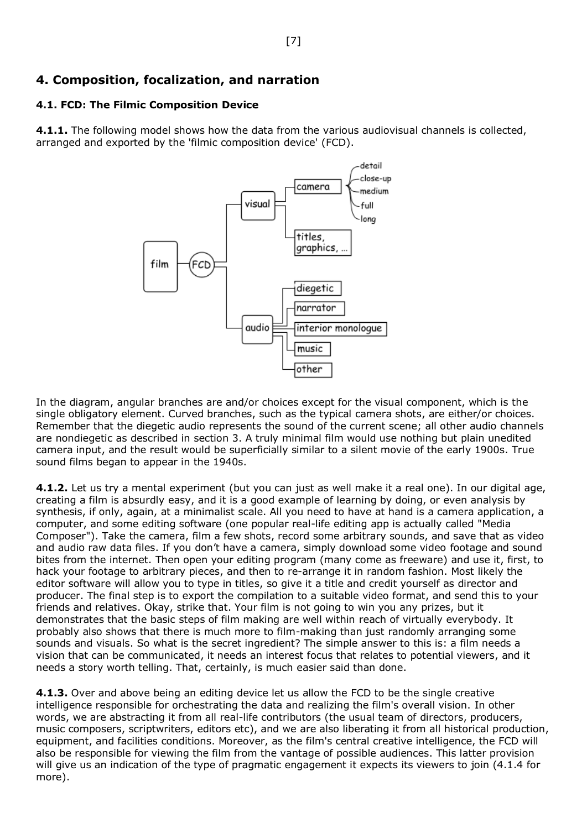## **4. Composition, focalization, and narration**

## **4.1. FCD: The Filmic Composition Device**

**4.1.1.** The following model shows how the data from the various audiovisual channels is collected, arranged and exported by the 'filmic composition device' (FCD).

<span id="page-6-0"></span>

In the diagram, angular branches are and/or choices except for the visual component, which is the single obligatory element. Curved branches, such as the typical camera shots, are either/or choices. Remember that the diegetic audio represents the sound of the current scene; all other audio channels are nondiegetic as described in section 3. A truly minimal film would use nothing but plain unedited camera input, and the result would be superficially similar to a silent movie of the early 1900s. True sound films began to appear in the 1940s.

**4.1.2.** Let us try a mental experiment (but you can just as well make it a real one). In our digital age, creating a film is absurdly easy, and it is a good example of learning by doing, or even analysis by synthesis, if only, again, at a minimalist scale. All you need to have at hand is a camera application, a computer, and some editing software (one popular real-life editing app is actually called "Media Composer"). Take the camera, film a few shots, record some arbitrary sounds, and save that as video and audio raw data files. If you don't have a camera, simply download some video footage and sound bites from the internet. Then open your editing program (many come as freeware) and use it, first, to hack your footage to arbitrary pieces, and then to re-arrange it in random fashion. Most likely the editor software will allow you to type in titles, so give it a title and credit yourself as director and producer. The final step is to export the compilation to a suitable video format, and send this to your friends and relatives. Okay, strike that. Your film is not going to win you any prizes, but it demonstrates that the basic steps of film making are well within reach of virtually everybody. It probably also shows that there is much more to film-making than just randomly arranging some sounds and visuals. So what is the secret ingredient? The simple answer to this is: a film needs a vision that can be communicated, it needs an interest focus that relates to potential viewers, and it needs a story worth telling. That, certainly, is much easier said than done.

**4.1.3.** Over and above being an editing device let us allow the FCD to be the single creative intelligence responsible for orchestrating the data and realizing the film's overall vision. In other words, we are abstracting it from all real-life contributors (the usual team of directors, producers, music composers, scriptwriters, editors etc), and we are also liberating it from all historical production, equipment, and facilities conditions. Moreover, as the film's central creative intelligence, the FCD will also be responsible for viewing the film from the vantage of possible audiences. This latter provision will give us an indication of the type of pragmatic engagement it expects its viewers to join (4.1.4 for more).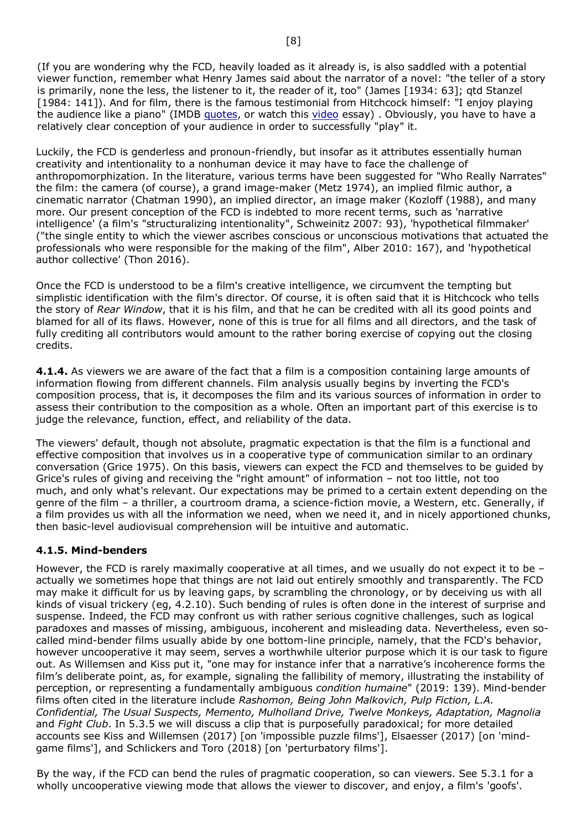(If you are wondering why the FCD, heavily loaded as it already is, is also saddled with a potential viewer function, remember what Henry James said about the narrator of a novel: "the teller of a story is primarily, none the less, the listener to it, the reader of it, too" (James [1934: 63]; qtd Stanzel [1984: 141]). And for film, there is the famous testimonial from Hitchcock himself: "I enjoy playing the audience like a piano" (IMDB [quotes,](https://www.imdb.com/name/nm0000033/bio?ref_=nm_ov_bio_sm) or watch this [video](https://www.youtube.com/watch?v=e4Yw8hz3tG8) essay) . Obviously, you have to have a relatively clear conception of your audience in order to successfully "play" it.

Luckily, the FCD is genderless and pronoun-friendly, but insofar as it attributes essentially human creativity and intentionality to a nonhuman device it may have to face the challenge of anthropomorphization. In the literature, various terms have been suggested for "Who Really Narrates" the film: the camera (of course), a grand image-maker (Metz 1974), an implied filmic author, a cinematic narrator (Chatman 1990), an implied director, an image maker (Kozloff (1988), and many more. Our present conception of the FCD is indebted to more recent terms, such as 'narrative intelligence' (a film's "structuralizing intentionality", Schweinitz 2007: 93), 'hypothetical filmmaker' ("the single entity to which the viewer ascribes conscious or unconscious motivations that actuated the professionals who were responsible for the making of the film", Alber 2010: 167), and 'hypothetical author collective' (Thon 2016).

Once the FCD is understood to be a film's creative intelligence, we circumvent the tempting but simplistic identification with the film's director. Of course, it is often said that it is Hitchcock who tells the story of *Rear Window*, that it is his film, and that he can be credited with all its good points and blamed for all of its flaws. However, none of this is true for all films and all directors, and the task of fully crediting all contributors would amount to the rather boring exercise of copying out the closing credits.

**4.1.4.** As viewers we are aware of the fact that a film is a composition containing large amounts of information flowing from different channels. Film analysis usually begins by inverting the FCD's composition process, that is, it decomposes the film and its various sources of information in order to assess their contribution to the composition as a whole. Often an important part of this exercise is to judge the relevance, function, effect, and reliability of the data.

The viewers' default, though not absolute, pragmatic expectation is that the film is a functional and effective composition that involves us in a cooperative type of communication similar to an ordinary conversation (Grice 1975). On this basis, viewers can expect the FCD and themselves to be guided by Grice's rules of giving and receiving the "right amount" of information – not too little, not too much, and only what's relevant. Our expectations may be primed to a certain extent depending on the genre of the film – a thriller, a courtroom drama, a science-fiction movie, a Western, etc. Generally, if a film provides us with all the information we need, when we need it, and in nicely apportioned chunks, then basic-level audiovisual comprehension will be intuitive and automatic.

### **4.1.5. Mind-benders**

However, the FCD is rarely maximally cooperative at all times, and we usually do not expect it to be actually we sometimes hope that things are not laid out entirely smoothly and transparently. The FCD may make it difficult for us by leaving gaps, by scrambling the chronology, or by deceiving us with all kinds of visual trickery (eg, 4.2.10). Such bending of rules is often done in the interest of surprise and suspense. Indeed, the FCD may confront us with rather serious cognitive challenges, such as logical paradoxes and masses of missing, ambiguous, incoherent and misleading data. Nevertheless, even socalled mind-bender films usually abide by one bottom-line principle, namely, that the FCD's behavior, however uncooperative it may seem, serves a worthwhile ulterior purpose which it is our task to figure out. As Willemsen and Kiss put it, "one may for instance infer that a narrative's incoherence forms the film's deliberate point, as, for example, signaling the fallibility of memory, illustrating the instability of perception, or representing a fundamentally ambiguous *condition humaine*" (2019: 139). Mind-bender films often cited in the literature include *Rashomon, Being John Malkovich, Pulp Fiction, L.A. Confidential, The Usual Suspects, Memento, Mulholland Drive, Twelve Monkeys, Adaptation, Magnolia* and *Fight Club*. In 5.3.5 we will discuss a clip that is purposefully paradoxical; for more detailed accounts see Kiss and Willemsen (2017) [on 'impossible puzzle films'], Elsaesser (2017) [on 'mindgame films'], and Schlickers and Toro (2018) [on 'perturbatory films'].

By the way, if the FCD can bend the rules of pragmatic cooperation, so can viewers. See 5.3.1 for a wholly uncooperative viewing mode that allows the viewer to discover, and enjoy, a film's 'goofs'.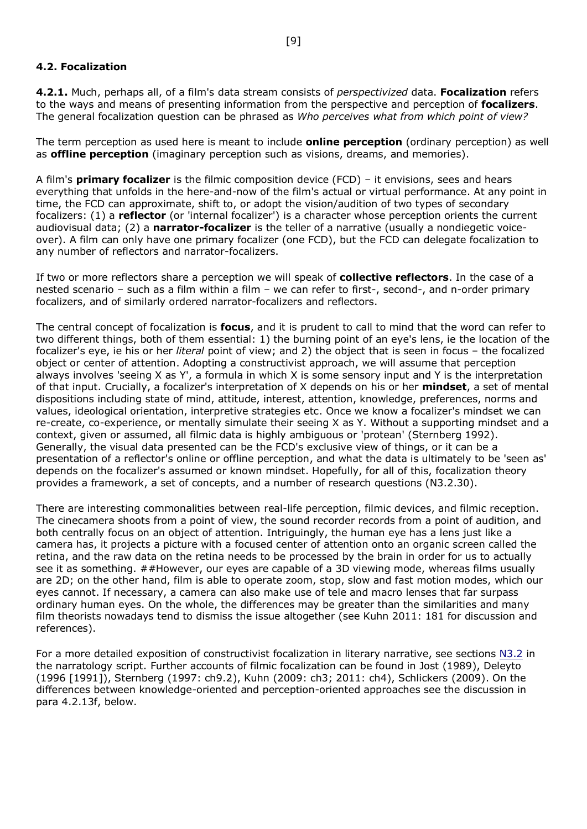### <span id="page-8-0"></span>**4.2. Focalization**

**4.2.1.** Much, perhaps all, of a film's data stream consists of *perspectivized* data. **Focalization** refers to the ways and means of presenting information from the perspective and perception of **focalizers**. The general focalization question can be phrased as *Who perceives what from which point of view?*

The term perception as used here is meant to include **online perception** (ordinary perception) as well as **offline perception** (imaginary perception such as visions, dreams, and memories).

A film's **primary focalizer** is the filmic composition device (FCD) – it envisions, sees and hears everything that unfolds in the here-and-now of the film's actual or virtual performance. At any point in time, the FCD can approximate, shift to, or adopt the vision/audition of two types of secondary focalizers: (1) a **reflector** (or 'internal focalizer') is a character whose perception orients the current audiovisual data; (2) a **narrator-focalizer** is the teller of a narrative (usually a nondiegetic voiceover). A film can only have one primary focalizer (one FCD), but the FCD can delegate focalization to any number of reflectors and narrator-focalizers.

If two or more reflectors share a perception we will speak of **collective reflectors**. In the case of a nested scenario – such as a film within a film – we can refer to first-, second-, and n-order primary focalizers, and of similarly ordered narrator-focalizers and reflectors.

The central concept of focalization is **focus**, and it is prudent to call to mind that the word can refer to two different things, both of them essential: 1) the burning point of an eye's lens, ie the location of the focalizer's eye, ie his or her *literal* point of view; and 2) the object that is seen in focus – the focalized object or center of attention. Adopting a constructivist approach, we will assume that perception always involves 'seeing X as Y', a formula in which X is some sensory input and Y is the interpretation of that input. Crucially, a focalizer's interpretation of X depends on his or her **mindset**, a set of mental dispositions including state of mind, attitude, interest, attention, knowledge, preferences, norms and values, ideological orientation, interpretive strategies etc. Once we know a focalizer's mindset we can re-create, co-experience, or mentally simulate their seeing X as Y. Without a supporting mindset and a context, given or assumed, all filmic data is highly ambiguous or 'protean' (Sternberg 1992). Generally, the visual data presented can be the FCD's exclusive view of things, or it can be a presentation of a reflector's online or offline perception, and what the data is ultimately to be 'seen as' depends on the focalizer's assumed or known mindset. Hopefully, for all of this, focalization theory provides a framework, a set of concepts, and a number of research questions (N3.2.30).

There are interesting commonalities between real-life perception, filmic devices, and filmic reception. The cinecamera shoots from a point of view, the sound recorder records from a point of audition, and both centrally focus on an object of attention. Intriguingly, the human eye has a lens just like a camera has, it projects a picture with a focused center of attention onto an organic screen called the retina, and the raw data on the retina needs to be processed by the brain in order for us to actually see it as something. ##However, our eyes are capable of a 3D viewing mode, whereas films usually are 2D; on the other hand, film is able to operate zoom, stop, slow and fast motion modes, which our eyes cannot. If necessary, a camera can also make use of tele and macro lenses that far surpass ordinary human eyes. On the whole, the differences may be greater than the similarities and many film theorists nowadays tend to dismiss the issue altogether (see Kuhn 2011: 181 for discussion and references).

For a more detailed exposition of constructivist focalization in literary narrative, see sections [N3.2](http://www.uni-koeln.de/~ame02/pppn.pdf#page=29) in the narratology script. Further accounts of filmic focalization can be found in Jost (1989), Deleyto (1996 [1991]), Sternberg (1997: ch9.2), Kuhn (2009: ch3; 2011: ch4), Schlickers (2009). On the differences between knowledge-oriented and perception-oriented approaches see the discussion in para 4.2.13f, below.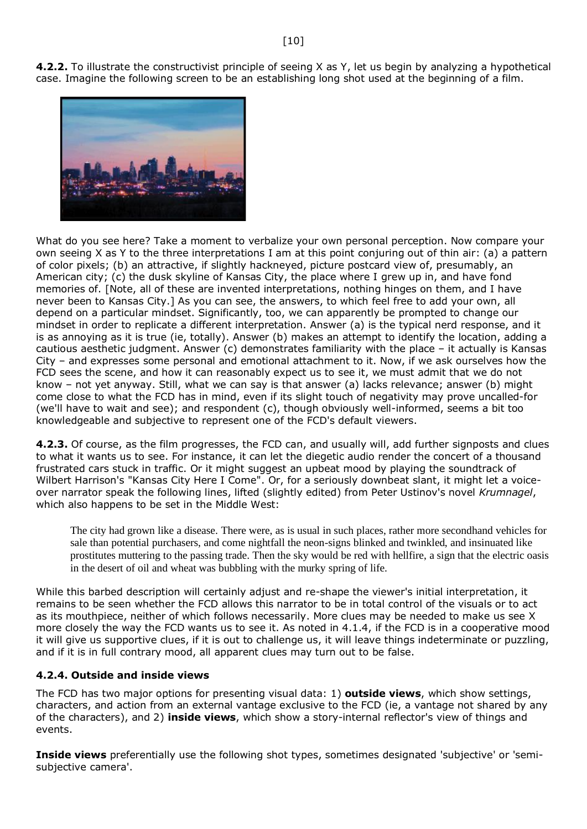**4.2.2.** To illustrate the constructivist principle of seeing X as Y, let us begin by analyzing a hypothetical case. Imagine the following screen to be an establishing long shot used at the beginning of a film.



What do you see here? Take a moment to verbalize your own personal perception. Now compare your own seeing X as Y to the three interpretations I am at this point conjuring out of thin air: (a) a pattern of color pixels; (b) an attractive, if slightly hackneyed, picture postcard view of, presumably, an American city; (c) the dusk skyline of Kansas City, the place where I grew up in, and have fond memories of. [Note, all of these are invented interpretations, nothing hinges on them, and I have never been to Kansas City.] As you can see, the answers, to which feel free to add your own, all depend on a particular mindset. Significantly, too, we can apparently be prompted to change our mindset in order to replicate a different interpretation. Answer (a) is the typical nerd response, and it is as annoying as it is true (ie, totally). Answer (b) makes an attempt to identify the location, adding a cautious aesthetic judgment. Answer (c) demonstrates familiarity with the place – it actually is Kansas City – and expresses some personal and emotional attachment to it. Now, if we ask ourselves how the FCD sees the scene, and how it can reasonably expect us to see it, we must admit that we do not know – not yet anyway. Still, what we can say is that answer (a) lacks relevance; answer (b) might come close to what the FCD has in mind, even if its slight touch of negativity may prove uncalled-for (we'll have to wait and see); and respondent (c), though obviously well-informed, seems a bit too knowledgeable and subjective to represent one of the FCD's default viewers.

**4.2.3.** Of course, as the film progresses, the FCD can, and usually will, add further signposts and clues to what it wants us to see. For instance, it can let the diegetic audio render the concert of a thousand frustrated cars stuck in traffic. Or it might suggest an upbeat mood by playing the soundtrack of Wilbert Harrison's "Kansas City Here I Come". Or, for a seriously downbeat slant, it might let a voiceover narrator speak the following lines, lifted (slightly edited) from Peter Ustinov's novel *Krumnagel*, which also happens to be set in the Middle West:

The city had grown like a disease. There were, as is usual in such places, rather more secondhand vehicles for sale than potential purchasers, and come nightfall the neon-signs blinked and twinkled, and insinuated like prostitutes muttering to the passing trade. Then the sky would be red with hellfire, a sign that the electric oasis in the desert of oil and wheat was bubbling with the murky spring of life.

While this barbed description will certainly adjust and re-shape the viewer's initial interpretation, it remains to be seen whether the FCD allows this narrator to be in total control of the visuals or to act as its mouthpiece, neither of which follows necessarily. More clues may be needed to make us see X more closely the way the FCD wants us to see it. As noted in 4.1.4, if the FCD is in a cooperative mood it will give us supportive clues, if it is out to challenge us, it will leave things indeterminate or puzzling, and if it is in full contrary mood, all apparent clues may turn out to be false.

### <span id="page-9-0"></span>**4.2.4. Outside and inside views**

The FCD has two major options for presenting visual data: 1) **outside views**, which show settings, characters, and action from an external vantage exclusive to the FCD (ie, a vantage not shared by any of the characters), and 2) **inside views**, which show a story-internal reflector's view of things and events.

**Inside views** preferentially use the following shot types, sometimes designated 'subjective' or 'semisubjective camera'.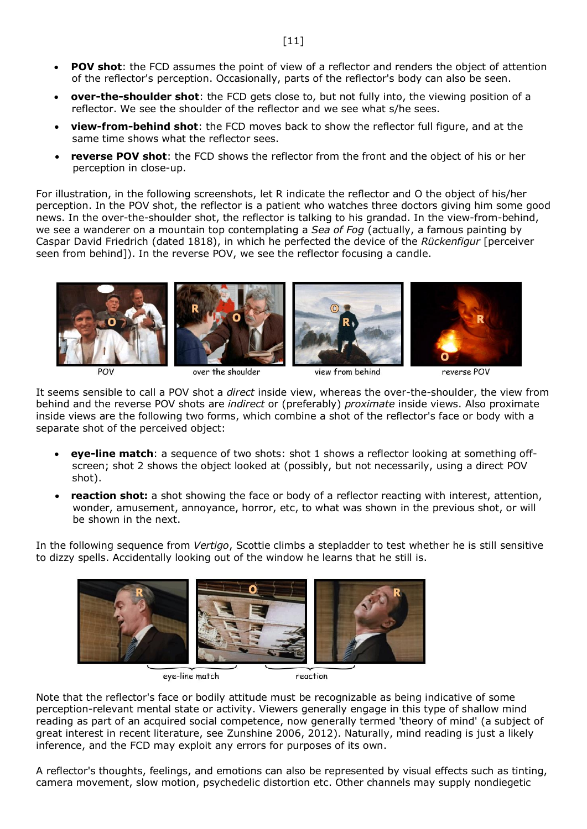- **POV shot**: the FCD assumes the point of view of a reflector and renders the object of attention of the reflector's perception. Occasionally, parts of the reflector's body can also be seen.
- **over-the-shoulder shot**: the FCD gets close to, but not fully into, the viewing position of a reflector. We see the shoulder of the reflector and we see what s/he sees.
- **view-from-behind shot**: the FCD moves back to show the reflector full figure, and at the same time shows what the reflector sees.
- **reverse POV shot**: the FCD shows the reflector from the front and the object of his or her perception in close-up.

For illustration, in the following screenshots, let R indicate the reflector and O the object of his/her perception. In the POV shot, the reflector is a patient who watches three doctors giving him some good news. In the over-the-shoulder shot, the reflector is talking to his grandad. In the view-from-behind, we see a wanderer on a mountain top contemplating a *Sea of Fog* (actually, a famous painting by Caspar David Friedrich (dated 1818), in which he perfected the device of the *Rückenfigur* [perceiver seen from behind]). In the reverse POV, we see the reflector focusing a candle.



POV

over the shoulder

view from behind

reverse POV

It seems sensible to call a POV shot a *direct* inside view, whereas the over-the-shoulder, the view from behind and the reverse POV shots are *indirect* or (preferably) *proximate* inside views. Also proximate inside views are the following two forms, which combine a shot of the reflector's face or body with a separate shot of the perceived object:

- **eye-line match**: a sequence of two shots: shot 1 shows a reflector looking at something offscreen; shot 2 shows the object looked at (possibly, but not necessarily, using a direct POV shot).
- **reaction shot:** a shot showing the face or body of a reflector reacting with interest, attention, wonder, amusement, annoyance, horror, etc, to what was shown in the previous shot, or will be shown in the next.

In the following sequence from *Vertigo*, Scottie climbs a stepladder to test whether he is still sensitive to dizzy spells. Accidentally looking out of the window he learns that he still is.



eye-line match

reaction

Note that the reflector's face or bodily attitude must be recognizable as being indicative of some perception-relevant mental state or activity. Viewers generally engage in this type of shallow mind reading as part of an acquired social competence, now generally termed 'theory of mind' (a subject of great interest in recent literature, see Zunshine 2006, 2012). Naturally, mind reading is just a likely inference, and the FCD may exploit any errors for purposes of its own.

A reflector's thoughts, feelings, and emotions can also be represented by visual effects such as tinting, camera movement, slow motion, psychedelic distortion etc. Other channels may supply nondiegetic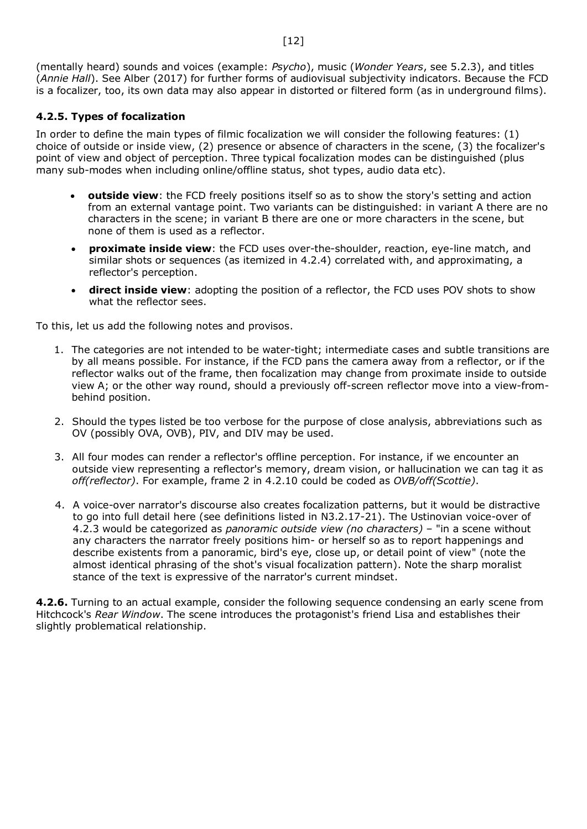(mentally heard) sounds and voices (example: *Psycho*), music (*Wonder Years*, see 5.2.3), and titles (*Annie Hall*). See Alber (2017) for further forms of audiovisual subjectivity indicators. Because the FCD is a focalizer, too, its own data may also appear in distorted or filtered form (as in underground films).

### <span id="page-11-0"></span>**4.2.5. Types of focalization**

In order to define the main types of filmic focalization we will consider the following features: (1) choice of outside or inside view, (2) presence or absence of characters in the scene, (3) the focalizer's point of view and object of perception. Three typical focalization modes can be distinguished (plus many sub-modes when including online/offline status, shot types, audio data etc).

- **outside view**: the FCD freely positions itself so as to show the story's setting and action from an external vantage point. Two variants can be distinguished: in variant A there are no characters in the scene; in variant B there are one or more characters in the scene, but none of them is used as a reflector.
- **proximate inside view**: the FCD uses over-the-shoulder, reaction, eye-line match, and similar shots or sequences (as itemized in 4.2.4) correlated with, and approximating, a reflector's perception.
- **direct inside view**: adopting the position of a reflector, the FCD uses POV shots to show what the reflector sees.

To this, let us add the following notes and provisos.

- 1. The categories are not intended to be water-tight; intermediate cases and subtle transitions are by all means possible. For instance, if the FCD pans the camera away from a reflector, or if the reflector walks out of the frame, then focalization may change from proximate inside to outside view A; or the other way round, should a previously off-screen reflector move into a view-frombehind position.
- 2. Should the types listed be too verbose for the purpose of close analysis, abbreviations such as OV (possibly OVA, OVB), PIV, and DIV may be used.
- 3. All four modes can render a reflector's offline perception. For instance, if we encounter an outside view representing a reflector's memory, dream vision, or hallucination we can tag it as *off(reflector)*. For example, frame 2 in 4.2.10 could be coded as *OVB/off(Scottie)*.
- 4. A voice-over narrator's discourse also creates focalization patterns, but it would be distractive to go into full detail here (see definitions listed in N3.2.17-21). The Ustinovian voice-over of 4.2.3 would be categorized as *panoramic outside view (no characters)* – "in a scene without any characters the narrator freely positions him- or herself so as to report happenings and describe existents from a panoramic, bird's eye, close up, or detail point of view" (note the almost identical phrasing of the shot's visual focalization pattern). Note the sharp moralist stance of the text is expressive of the narrator's current mindset.

<span id="page-11-1"></span>**4.2.6.** Turning to an actual example, consider the following sequence condensing an early scene from Hitchcock's *Rear Window*. The scene introduces the protagonist's friend Lisa and establishes their slightly problematical relationship.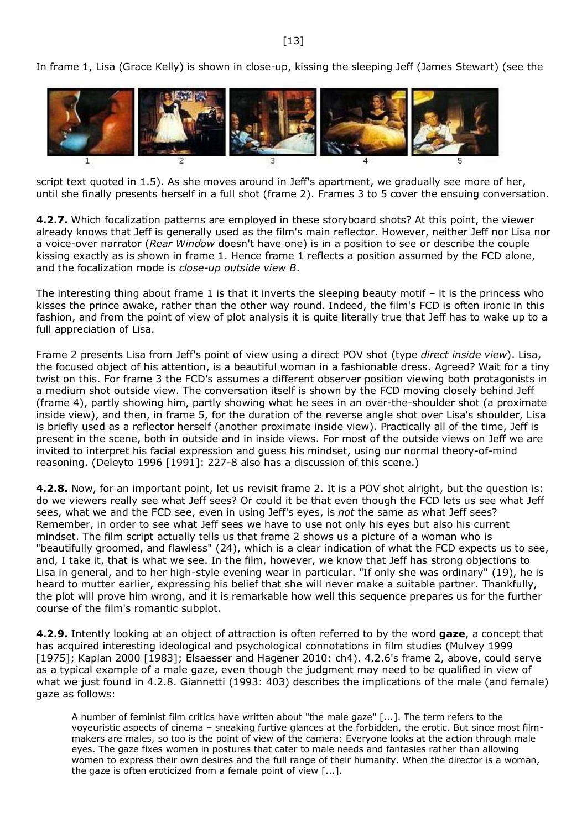In frame 1, Lisa (Grace Kelly) is shown in close-up, kissing the sleeping Jeff (James Stewart) (see the



script text quoted in 1.5). As she moves around in Jeff's apartment, we gradually see more of her, until she finally presents herself in a full shot (frame 2). Frames 3 to 5 cover the ensuing conversation.

**4.2.7.** Which focalization patterns are employed in these storyboard shots? At this point, the viewer already knows that Jeff is generally used as the film's main reflector. However, neither Jeff nor Lisa nor a voice-over narrator (*Rear Window* doesn't have one) is in a position to see or describe the couple kissing exactly as is shown in frame 1. Hence frame 1 reflects a position assumed by the FCD alone, and the focalization mode is *close-up outside view B*.

The interesting thing about frame 1 is that it inverts the sleeping beauty motif – it is the princess who kisses the prince awake, rather than the other way round. Indeed, the film's FCD is often ironic in this fashion, and from the point of view of plot analysis it is quite literally true that Jeff has to wake up to a full appreciation of Lisa.

Frame 2 presents Lisa from Jeff's point of view using a direct POV shot (type *direct inside view*). Lisa, the focused object of his attention, is a beautiful woman in a fashionable dress. Agreed? Wait for a tiny twist on this. For frame 3 the FCD's assumes a different observer position viewing both protagonists in a medium shot outside view. The conversation itself is shown by the FCD moving closely behind Jeff (frame 4), partly showing him, partly showing what he sees in an over-the-shoulder shot (a proximate inside view), and then, in frame 5, for the duration of the reverse angle shot over Lisa's shoulder, Lisa is briefly used as a reflector herself (another proximate inside view). Practically all of the time, Jeff is present in the scene, both in outside and in inside views. For most of the outside views on Jeff we are invited to interpret his facial expression and guess his mindset, using our normal theory-of-mind reasoning. (Deleyto 1996 [1991]: 227-8 also has a discussion of this scene.)

**4.2.8.** Now, for an important point, let us revisit frame 2. It is a POV shot alright, but the question is: do we viewers really see what Jeff sees? Or could it be that even though the FCD lets us see what Jeff sees, what we and the FCD see, even in using Jeff's eyes, is *not* the same as what Jeff sees? Remember, in order to see what Jeff sees we have to use not only his eyes but also his current mindset. The film script actually tells us that frame 2 shows us a picture of a woman who is "beautifully groomed, and flawless" (24), which is a clear indication of what the FCD expects us to see, and, I take it, that is what we see. In the film, however, we know that Jeff has strong objections to Lisa in general, and to her high-style evening wear in particular. "If only she was ordinary" (19), he is heard to mutter earlier, expressing his belief that she will never make a suitable partner. Thankfully, the plot will prove him wrong, and it is remarkable how well this sequence prepares us for the further course of the film's romantic subplot.

**4.2.9.** Intently looking at an object of attraction is often referred to by the word **gaze**, a concept that has acquired interesting ideological and psychological connotations in film studies (Mulvey 1999 [1975]; Kaplan 2000 [1983]; Elsaesser and Hagener 2010: ch4). 4.2.6's frame 2, above, could serve as a typical example of a male gaze, even though the judgment may need to be qualified in view of what we just found in 4.2.8. Giannetti (1993: 403) describes the implications of the male (and female) gaze as follows:

A number of feminist film critics have written about "the male gaze" [...]. The term refers to the voyeuristic aspects of cinema – sneaking furtive glances at the forbidden, the erotic. But since most filmmakers are males, so too is the point of view of the camera: Everyone looks at the action through male eyes. The gaze fixes women in postures that cater to male needs and fantasies rather than allowing women to express their own desires and the full range of their humanity. When the director is a woman, the gaze is often eroticized from a female point of view [...].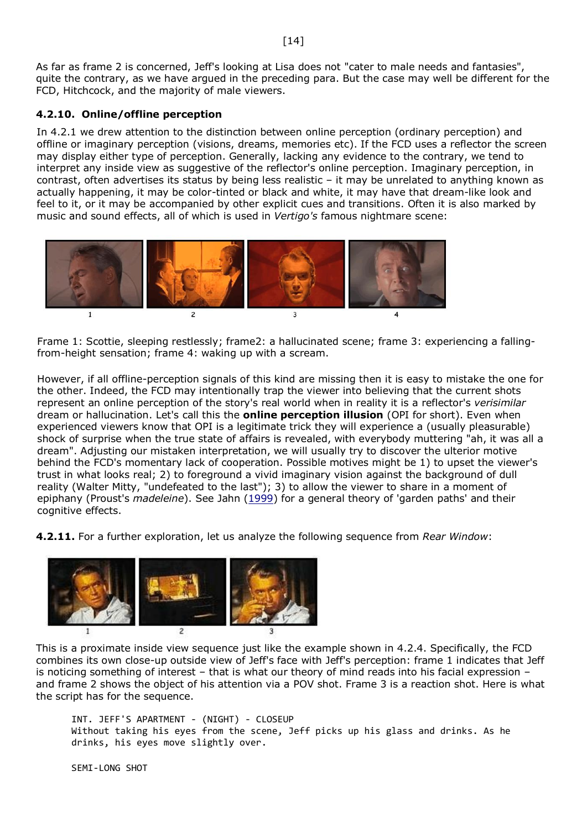As far as frame 2 is concerned, Jeff's looking at Lisa does not "cater to male needs and fantasies", quite the contrary, as we have argued in the preceding para. But the case may well be different for the FCD, Hitchcock, and the majority of male viewers.

### <span id="page-13-0"></span>**4.2.10. Online/offline perception**

In 4.2.1 we drew attention to the distinction between online perception (ordinary perception) and offline or imaginary perception (visions, dreams, memories etc). If the FCD uses a reflector the screen may display either type of perception. Generally, lacking any evidence to the contrary, we tend to interpret any inside view as suggestive of the reflector's online perception. Imaginary perception, in contrast, often advertises its status by being less realistic – it may be unrelated to anything known as actually happening, it may be color-tinted or black and white, it may have that dream-like look and feel to it, or it may be accompanied by other explicit cues and transitions. Often it is also marked by music and sound effects, all of which is used in *Vertigo's* famous nightmare scene:



Frame 1: Scottie, sleeping restlessly; frame2: a hallucinated scene; frame 3: experiencing a fallingfrom-height sensation; frame 4: waking up with a scream.

However, if all offline-perception signals of this kind are missing then it is easy to mistake the one for the other. Indeed, the FCD may intentionally trap the viewer into believing that the current shots represent an online perception of the story's real world when in reality it is a reflector's *verisimilar* dream or hallucination. Let's call this the **online perception illusion** (OPI for short). Even when experienced viewers know that OPI is a legitimate trick they will experience a (usually pleasurable) shock of surprise when the true state of affairs is revealed, with everybody muttering "ah, it was all a dream". Adjusting our mistaken interpretation, we will usually try to discover the ulterior motive behind the FCD's momentary lack of cooperation. Possible motives might be 1) to upset the viewer's trust in what looks real; 2) to foreground a vivid imaginary vision against the background of dull reality (Walter Mitty, "undefeated to the last"); 3) to allow the viewer to share in a moment of epiphany (Proust's *madeleine*). See Jahn [\(1999\)](http://www.uni-koeln.de/~ame02/jahn_1999.htm) for a general theory of 'garden paths' and their cognitive effects.

**4.2.11.** For a further exploration, let us analyze the following sequence from *Rear Window*:



This is a proximate inside view sequence just like the example shown in 4.2.4. Specifically, the FCD combines its own close-up outside view of Jeff's face with Jeff's perception: frame 1 indicates that Jeff is noticing something of interest – that is what our theory of mind reads into his facial expression – and frame 2 shows the object of his attention via a POV shot. Frame 3 is a reaction shot. Here is what the script has for the sequence.

```
INT. JEFF'S APARTMENT - (NIGHT) - CLOSEUP
Without taking his eyes from the scene, Jeff picks up his glass and drinks. As he 
drinks, his eyes move slightly over.
```
SEMI-LONG SHOT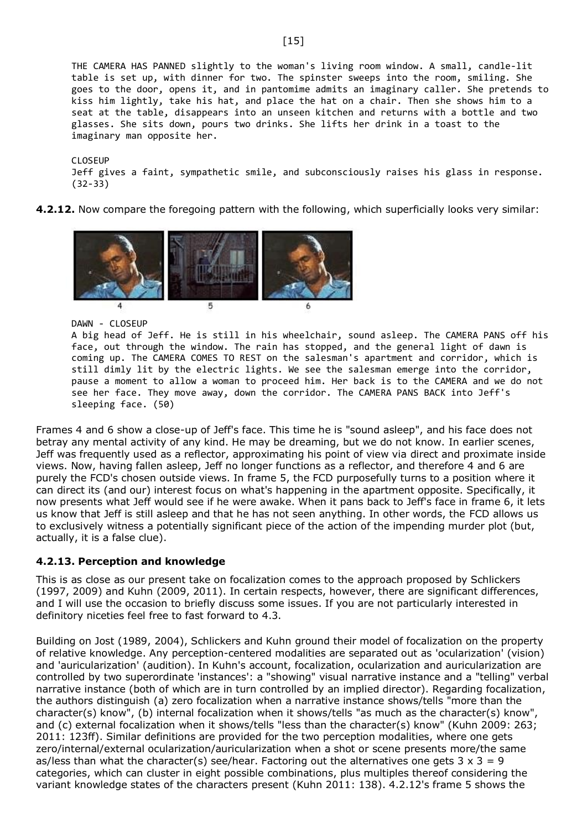THE CAMERA HAS PANNED slightly to the woman's living room window. A small, candle-lit table is set up, with dinner for two. The spinster sweeps into the room, smiling. She goes to the door, opens it, and in pantomime admits an imaginary caller. She pretends to kiss him lightly, take his hat, and place the hat on a chair. Then she shows him to a seat at the table, disappears into an unseen kitchen and returns with a bottle and two glasses. She sits down, pours two drinks. She lifts her drink in a toast to the imaginary man opposite her.

CLOSEUP Jeff gives a faint, sympathetic smile, and subconsciously raises his glass in response. (32-33)

**4.2.12.** Now compare the foregoing pattern with the following, which superficially looks very similar:



DAWN - CLOSEUP

A big head of Jeff. He is still in his wheelchair, sound asleep. The CAMERA PANS off his face, out through the window. The rain has stopped, and the general light of dawn is coming up. The CAMERA COMES TO REST on the salesman's apartment and corridor, which is still dimly lit by the electric lights. We see the salesman emerge into the corridor, pause a moment to allow a woman to proceed him. Her back is to the CAMERA and we do not see her face. They move away, down the corridor. The CAMERA PANS BACK into Jeff's sleeping face. (50)

Frames 4 and 6 show a close-up of Jeff's face. This time he is "sound asleep", and his face does not betray any mental activity of any kind. He may be dreaming, but we do not know. In earlier scenes, Jeff was frequently used as a reflector, approximating his point of view via direct and proximate inside views. Now, having fallen asleep, Jeff no longer functions as a reflector, and therefore 4 and 6 are purely the FCD's chosen outside views. In frame 5, the FCD purposefully turns to a position where it can direct its (and our) interest focus on what's happening in the apartment opposite. Specifically, it now presents what Jeff would see if he were awake. When it pans back to Jeff's face in frame 6, it lets us know that Jeff is still asleep and that he has not seen anything. In other words, the FCD allows us to exclusively witness a potentially significant piece of the action of the impending murder plot (but, actually, it is a false clue).

#### <span id="page-14-0"></span>**4.2.13. Perception and knowledge**

This is as close as our present take on focalization comes to the approach proposed by Schlickers (1997, 2009) and Kuhn (2009, 2011). In certain respects, however, there are significant differences, and I will use the occasion to briefly discuss some issues. If you are not particularly interested in definitory niceties feel free to fast forward to 4.3.

Building on Jost (1989, 2004), Schlickers and Kuhn ground their model of focalization on the property of relative knowledge. Any perception-centered modalities are separated out as 'ocularization' (vision) and 'auricularization' (audition). In Kuhn's account, focalization, ocularization and auricularization are controlled by two superordinate 'instances': a "showing" visual narrative instance and a "telling" verbal narrative instance (both of which are in turn controlled by an implied director). Regarding focalization, the authors distinguish (a) zero focalization when a narrative instance shows/tells "more than the character(s) know", (b) internal focalization when it shows/tells "as much as the character(s) know", and (c) external focalization when it shows/tells "less than the character(s) know" (Kuhn 2009: 263; 2011: 123ff). Similar definitions are provided for the two perception modalities, where one gets zero/internal/external ocularization/auricularization when a shot or scene presents more/the same as/less than what the character(s) see/hear. Factoring out the alternatives one gets  $3 \times 3 = 9$ categories, which can cluster in eight possible combinations, plus multiples thereof considering the variant knowledge states of the characters present (Kuhn 2011: 138). 4.2.12's frame 5 shows the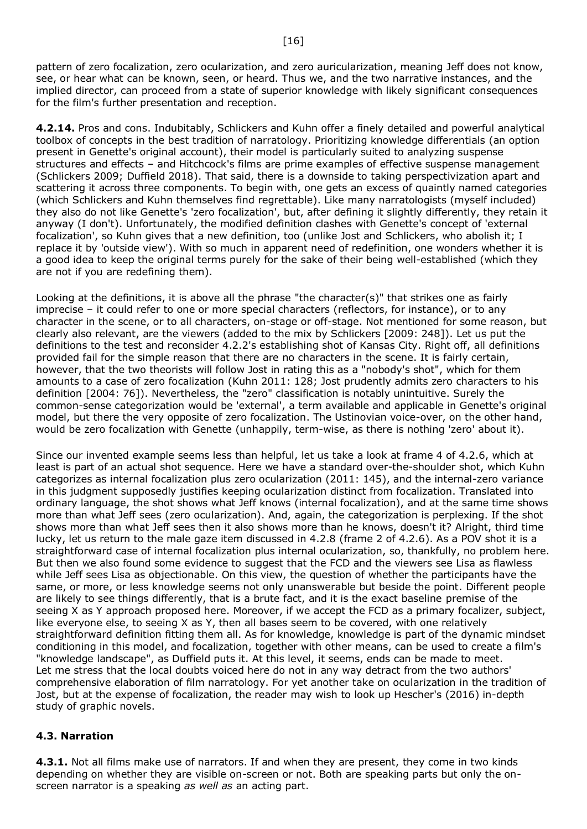pattern of zero focalization, zero ocularization, and zero auricularization, meaning Jeff does not know, see, or hear what can be known, seen, or heard. Thus we, and the two narrative instances, and the implied director, can proceed from a state of superior knowledge with likely significant consequences for the film's further presentation and reception.

**4.2.14.** Pros and cons. Indubitably, Schlickers and Kuhn offer a finely detailed and powerful analytical toolbox of concepts in the best tradition of narratology. Prioritizing knowledge differentials (an option present in Genette's original account), their model is particularly suited to analyzing suspense structures and effects – and Hitchcock's films are prime examples of effective suspense management (Schlickers 2009; Duffield 2018). That said, there is a downside to taking perspectivization apart and scattering it across three components. To begin with, one gets an excess of quaintly named categories (which Schlickers and Kuhn themselves find regrettable). Like many narratologists (myself included) they also do not like Genette's 'zero focalization', but, after defining it slightly differently, they retain it anyway (I don't). Unfortunately, the modified definition clashes with Genette's concept of 'external focalization', so Kuhn gives that a new definition, too (unlike Jost and Schlickers, who abolish it; I replace it by 'outside view'). With so much in apparent need of redefinition, one wonders whether it is a good idea to keep the original terms purely for the sake of their being well-established (which they are not if you are redefining them).

Looking at the definitions, it is above all the phrase "the character(s)" that strikes one as fairly imprecise – it could refer to one or more special characters (reflectors, for instance), or to any character in the scene, or to all characters, on-stage or off-stage. Not mentioned for some reason, but clearly also relevant, are the viewers (added to the mix by Schlickers [2009: 248]). Let us put the definitions to the test and reconsider 4.2.2's establishing shot of Kansas City. Right off, all definitions provided fail for the simple reason that there are no characters in the scene. It is fairly certain, however, that the two theorists will follow Jost in rating this as a "nobody's shot", which for them amounts to a case of zero focalization (Kuhn 2011: 128; Jost prudently admits zero characters to his definition [2004: 76]). Nevertheless, the "zero" classification is notably unintuitive. Surely the common-sense categorization would be 'external', a term available and applicable in Genette's original model, but there the very opposite of zero focalization. The Ustinovian voice-over, on the other hand, would be zero focalization with Genette (unhappily, term-wise, as there is nothing 'zero' about it).

Since our invented example seems less than helpful, let us take a look at frame 4 of 4.2.6, which at least is part of an actual shot sequence. Here we have a standard over-the-shoulder shot, which Kuhn categorizes as internal focalization plus zero ocularization (2011: 145), and the internal-zero variance in this judgment supposedly justifies keeping ocularization distinct from focalization. Translated into ordinary language, the shot shows what Jeff knows (internal focalization), and at the same time shows more than what Jeff sees (zero ocularization). And, again, the categorization is perplexing. If the shot shows more than what Jeff sees then it also shows more than he knows, doesn't it? Alright, third time lucky, let us return to the male gaze item discussed in 4.2.8 (frame 2 of 4.2.6). As a POV shot it is a straightforward case of internal focalization plus internal ocularization, so, thankfully, no problem here. But then we also found some evidence to suggest that the FCD and the viewers see Lisa as flawless while Jeff sees Lisa as objectionable. On this view, the question of whether the participants have the same, or more, or less knowledge seems not only unanswerable but beside the point. Different people are likely to see things differently, that is a brute fact, and it is the exact baseline premise of the seeing X as Y approach proposed here. Moreover, if we accept the FCD as a primary focalizer, subject, like everyone else, to seeing X as Y, then all bases seem to be covered, with one relatively straightforward definition fitting them all. As for knowledge, knowledge is part of the dynamic mindset conditioning in this model, and focalization, together with other means, can be used to create a film's "knowledge landscape", as Duffield puts it. At this level, it seems, ends can be made to meet. Let me stress that the local doubts voiced here do not in any way detract from the two authors' comprehensive elaboration of film narratology. For yet another take on ocularization in the tradition of Jost, but at the expense of focalization, the reader may wish to look up Hescher's (2016) in-depth study of graphic novels.

### <span id="page-15-0"></span>**4.3. Narration**

**4.3.1.** Not all films make use of narrators. If and when they are present, they come in two kinds depending on whether they are visible on-screen or not. Both are speaking parts but only the onscreen narrator is a speaking *as well as* an acting part.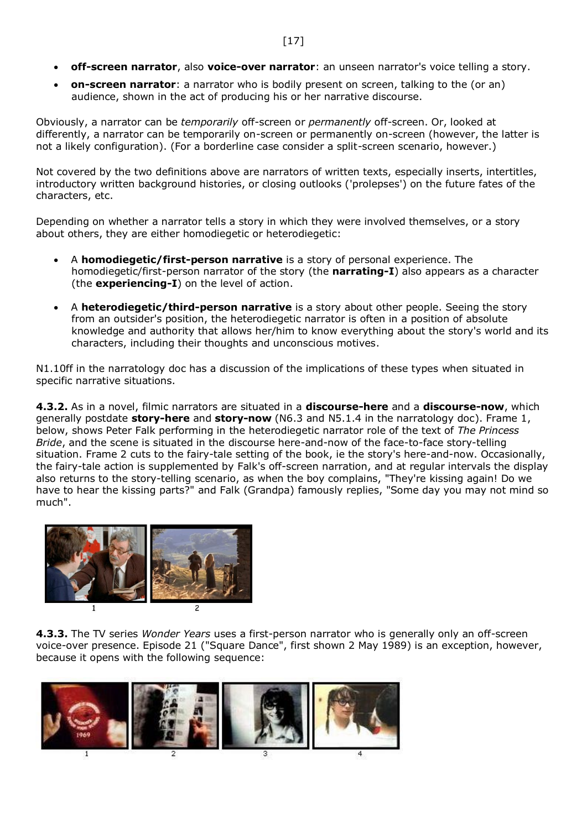- **off-screen narrator**, also **voice-over narrator**: an unseen narrator's voice telling a story.
- **on-screen narrator**: a narrator who is bodily present on screen, talking to the (or an) audience, shown in the act of producing his or her narrative discourse.

Obviously, a narrator can be *temporarily* off-screen or *permanently* off-screen. Or, looked at differently, a narrator can be temporarily on-screen or permanently on-screen (however, the latter is not a likely configuration). (For a borderline case consider a split-screen scenario, however.)

Not covered by the two definitions above are narrators of written texts, especially inserts, intertitles, introductory written background histories, or closing outlooks ('prolepses') on the future fates of the characters, etc.

Depending on whether a narrator tells a story in which they were involved themselves, or a story about others, they are either homodiegetic or heterodiegetic:

- A **homodiegetic/first-person narrative** is a story of personal experience. The homodiegetic/first-person narrator of the story (the **narrating-I**) also appears as a character (the **experiencing-I**) on the level of action.
- A **heterodiegetic/third-person narrative** is a story about other people. Seeing the story from an outsider's position, the heterodiegetic narrator is often in a position of absolute knowledge and authority that allows her/him to know everything about the story's world and its characters, including their thoughts and unconscious motives.

N1.10ff in the narratology doc has a discussion of the implications of these types when situated in specific narrative situations.

**4.3.2.** As in a novel, filmic narrators are situated in a **discourse-here** and a **discourse-now**, which generally postdate **story-here** and **story-now** (N6.3 and N5.1.4 in the narratology doc). Frame 1, below, shows Peter Falk performing in the heterodiegetic narrator role of the text of *The Princess Bride*, and the scene is situated in the discourse here-and-now of the face-to-face story-telling situation. Frame 2 cuts to the fairy-tale setting of the book, ie the story's here-and-now. Occasionally, the fairy-tale action is supplemented by Falk's off-screen narration, and at regular intervals the display also returns to the story-telling scenario, as when the boy complains, "They're kissing again! Do we have to hear the kissing parts?" and Falk (Grandpa) famously replies, "Some day you may not mind so much".



**4.3.3.** The TV series *Wonder Years* uses a first-person narrator who is generally only an off-screen voice-over presence. Episode 21 ("Square Dance", first shown 2 May 1989) is an exception, however, because it opens with the following sequence:

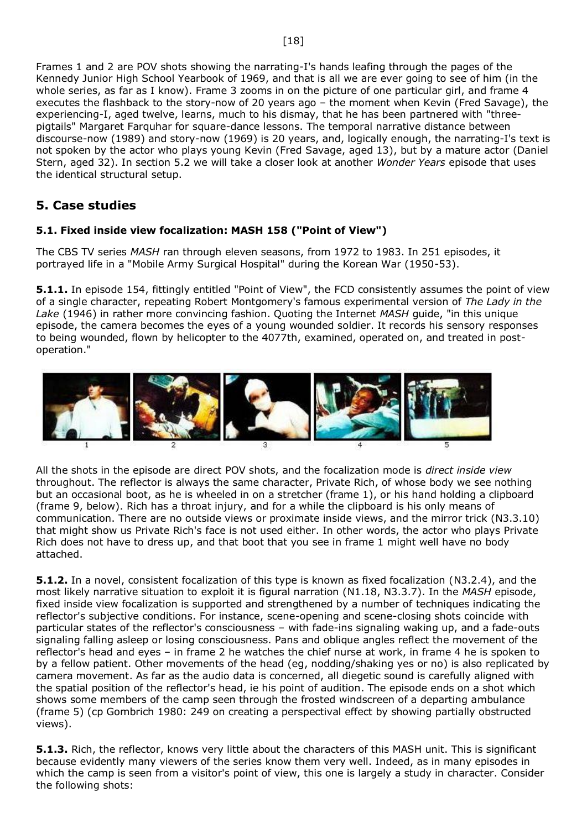Frames 1 and 2 are POV shots showing the narrating-I's hands leafing through the pages of the Kennedy Junior High School Yearbook of 1969, and that is all we are ever going to see of him (in the whole series, as far as I know). Frame 3 zooms in on the picture of one particular girl, and frame 4 executes the flashback to the story-now of 20 years ago – the moment when Kevin (Fred Savage), the experiencing-I, aged twelve, learns, much to his dismay, that he has been partnered with "threepigtails" Margaret Farquhar for square-dance lessons. The temporal narrative distance between discourse-now (1989) and story-now (1969) is 20 years, and, logically enough, the narrating-I's text is not spoken by the actor who plays young Kevin (Fred Savage, aged 13), but by a mature actor (Daniel Stern, aged 32). In section 5.2 we will take a closer look at another *Wonder Years* episode that uses the identical structural setup.

## <span id="page-17-0"></span>**5. Case studies**

## <span id="page-17-1"></span>**5.1. Fixed inside view focalization: MASH 158 ("Point of View")**

The CBS TV series *MASH* ran through eleven seasons, from 1972 to 1983. In 251 episodes, it portrayed life in a "Mobile Army Surgical Hospital" during the Korean War (1950-53).

**5.1.1.** In episode 154, fittingly entitled "Point of View", the FCD consistently assumes the point of view of a single character, repeating Robert Montgomery's famous experimental version of *The Lady in the Lake* (1946) in rather more convincing fashion. Quoting the Internet *MASH* guide, "in this unique episode, the camera becomes the eyes of a young wounded soldier. It records his sensory responses to being wounded, flown by helicopter to the 4077th, examined, operated on, and treated in postoperation."



All the shots in the episode are direct POV shots, and the focalization mode is *direct inside view* throughout. The reflector is always the same character, Private Rich, of whose body we see nothing but an occasional boot, as he is wheeled in on a stretcher (frame 1), or his hand holding a clipboard (frame 9, below). Rich has a throat injury, and for a while the clipboard is his only means of communication. There are no outside views or proximate inside views, and the mirror trick (N3.3.10) that might show us Private Rich's face is not used either. In other words, the actor who plays Private Rich does not have to dress up, and that boot that you see in frame 1 might well have no body attached.

**5.1.2.** In a novel, consistent focalization of this type is known as fixed focalization (N3.2.4), and the most likely narrative situation to exploit it is figural narration (N1.18, N3.3.7). In the *MASH* episode, fixed inside view focalization is supported and strengthened by a number of techniques indicating the reflector's subjective conditions. For instance, scene-opening and scene-closing shots coincide with particular states of the reflector's consciousness – with fade-ins signaling waking up, and a fade-outs signaling falling asleep or losing consciousness. Pans and oblique angles reflect the movement of the reflector's head and eyes – in frame 2 he watches the chief nurse at work, in frame 4 he is spoken to by a fellow patient. Other movements of the head (eg, nodding/shaking yes or no) is also replicated by camera movement. As far as the audio data is concerned, all diegetic sound is carefully aligned with the spatial position of the reflector's head, ie his point of audition. The episode ends on a shot which shows some members of the camp seen through the frosted windscreen of a departing ambulance (frame 5) (cp Gombrich 1980: 249 on creating a perspectival effect by showing partially obstructed views).

**5.1.3.** Rich, the reflector, knows very little about the characters of this MASH unit. This is significant because evidently many viewers of the series know them very well. Indeed, as in many episodes in which the camp is seen from a visitor's point of view, this one is largely a study in character. Consider the following shots: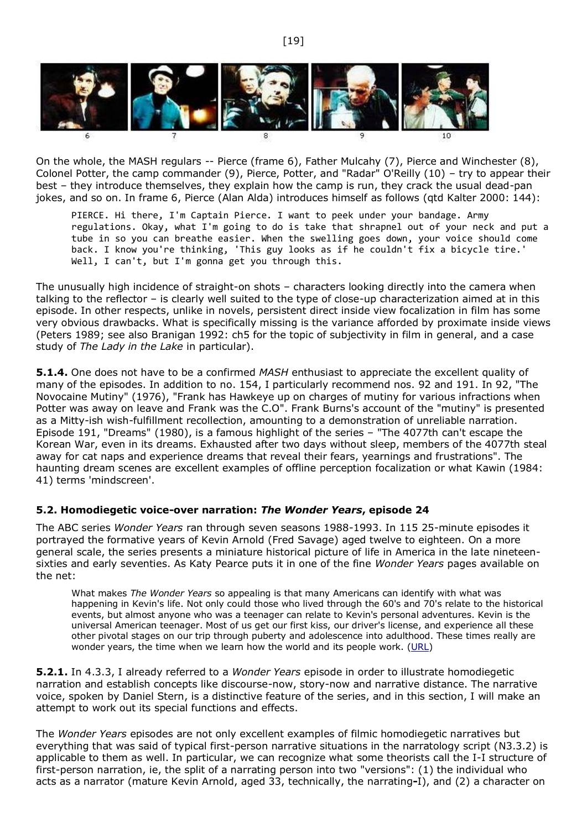

On the whole, the MASH regulars -- Pierce (frame 6), Father Mulcahy (7), Pierce and Winchester (8), Colonel Potter, the camp commander (9), Pierce, Potter, and "Radar" O'Reilly (10) – try to appear their best – they introduce themselves, they explain how the camp is run, they crack the usual dead-pan jokes, and so on. In frame 6, Pierce (Alan Alda) introduces himself as follows (qtd Kalter 2000: 144):

PIERCE. Hi there, I'm Captain Pierce. I want to peek under your bandage. Army regulations. Okay, what I'm going to do is take that shrapnel out of your neck and put a tube in so you can breathe easier. When the swelling goes down, your voice should come back. I know you're thinking, 'This guy looks as if he couldn't fix a bicycle tire.' Well, I can't, but I'm gonna get you through this.

The unusually high incidence of straight-on shots – characters looking directly into the camera when talking to the reflector – is clearly well suited to the type of close-up characterization aimed at in this episode. In other respects, unlike in novels, persistent direct inside view focalization in film has some very obvious drawbacks. What is specifically missing is the variance afforded by proximate inside views (Peters 1989; see also Branigan 1992: ch5 for the topic of subjectivity in film in general, and a case study of *The Lady in the Lake* in particular).

**5.1.4.** One does not have to be a confirmed *MASH* enthusiast to appreciate the excellent quality of many of the episodes. In addition to no. 154, I particularly recommend nos. 92 and 191. In 92, "The Novocaine Mutiny" (1976), "Frank has Hawkeye up on charges of mutiny for various infractions when Potter was away on leave and Frank was the C.O". Frank Burns's account of the "mutiny" is presented as a Mitty-ish wish-fulfillment recollection, amounting to a demonstration of unreliable narration. Episode 191, "Dreams" (1980), is a famous highlight of the series – "The 4077th can't escape the Korean War, even in its dreams. Exhausted after two days without sleep, members of the 4077th steal away for cat naps and experience dreams that reveal their fears, yearnings and frustrations". The haunting dream scenes are excellent examples of offline perception focalization or what Kawin (1984: 41) terms 'mindscreen'.

#### <span id="page-18-0"></span>**5.2. Homodiegetic voice-over narration:** *The Wonder Years***, episode 24**

The ABC series *Wonder Years* ran through seven seasons 1988-1993. In 115 25-minute episodes it portrayed the formative years of Kevin Arnold (Fred Savage) aged twelve to eighteen. On a more general scale, the series presents a miniature historical picture of life in America in the late nineteensixties and early seventies. As Katy Pearce puts it in one of the fine *Wonder Years* pages available on the net:

What makes *The Wonder Years* so appealing is that many Americans can identify with what was happening in Kevin's life. Not only could those who lived through the 60's and 70's relate to the historical events, but almost anyone who was a teenager can relate to Kevin's personal adventures. Kevin is the universal American teenager. Most of us get our first kiss, our driver's license, and experience all these other pivotal stages on our trip through puberty and adolescence into adulthood. These times really are wonder years, the time when we learn how the world and its people work. [\(URL\)](http://www-personal.umich.edu/~kpearce/wy.html)

**5.2.1.** In 4.3.3, I already referred to a *Wonder Years* episode in order to illustrate homodiegetic narration and establish concepts like discourse-now, story-now and narrative distance. The narrative voice, spoken by Daniel Stern, is a distinctive feature of the series, and in this section, I will make an attempt to work out its special functions and effects.

The *Wonder Years* episodes are not only excellent examples of filmic homodiegetic narratives but everything that was said of typical first-person narrative situations in the narratology script (N3.3.2) is applicable to them as well. In particular, we can recognize what some theorists call the I-I structure of first-person narration, ie, the split of a narrating person into two "versions": (1) the individual who acts as a narrator (mature Kevin Arnold, aged 33, technically, the narrating**-**I), and (2) a character on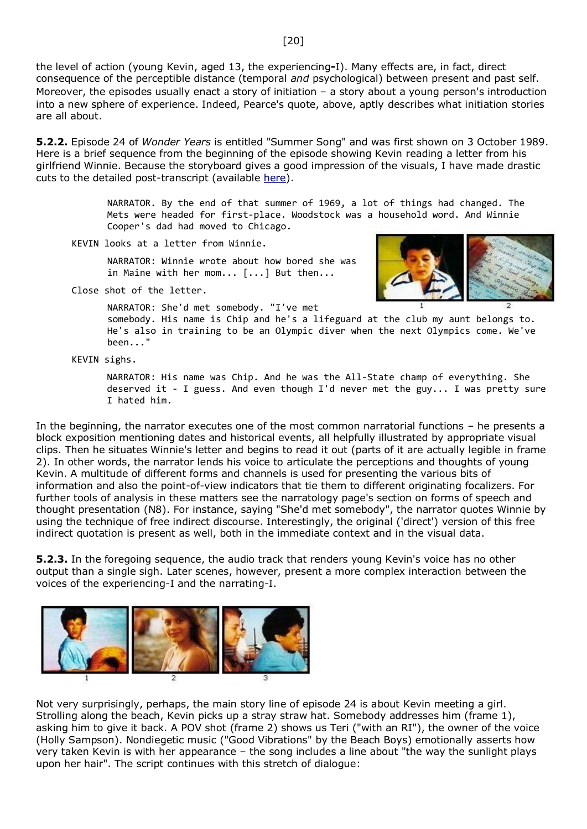the level of action (young Kevin, aged 13, the experiencing**-**I). Many effects are, in fact, direct consequence of the perceptible distance (temporal *and* psychological) between present and past self. Moreover, the episodes usually enact a story of initiation – a story about a young person's introduction into a new sphere of experience. Indeed, Pearce's quote, above, aptly describes what initiation stories are all about.

**5.2.2.** Episode 24 of *Wonder Years* is entitled "Summer Song" and was first shown on 3 October 1989. Here is a brief sequence from the beginning of the episode showing Kevin reading a letter from his girlfriend Winnie. Because the storyboard gives a good impression of the visuals, I have made drastic cuts to the detailed post-transcript (available [here\)](http://mytwyyearbook.tripod.com/ep024.html).

> NARRATOR. By the end of that summer of 1969, a lot of things had changed. The Mets were headed for first-place. Woodstock was a household word. And Winnie Cooper's dad had moved to Chicago.

KEVIN looks at a letter from Winnie.

NARRATOR: Winnie wrote about how bored she was in Maine with her mom... [...] But then...



Close shot of the letter.

NARRATOR: She'd met somebody. "I've met somebody. His name is Chip and he's a lifeguard at the club my aunt belongs to. He's also in training to be an Olympic diver when the next Olympics come. We've been..."

KEVIN sighs.

NARRATOR: His name was Chip. And he was the All-State champ of everything. She deserved it - I guess. And even though I'd never met the guy... I was pretty sure I hated him.

In the beginning, the narrator executes one of the most common narratorial functions – he presents a block exposition mentioning dates and historical events, all helpfully illustrated by appropriate visual clips. Then he situates Winnie's letter and begins to read it out (parts of it are actually legible in frame 2). In other words, the narrator lends his voice to articulate the perceptions and thoughts of young Kevin. A multitude of different forms and channels is used for presenting the various bits of information and also the point-of-view indicators that tie them to different originating focalizers. For further tools of analysis in these matters see the narratology page's section on forms of speech and thought presentation (N8). For instance, saying "She'd met somebody", the narrator quotes Winnie by using the technique of free indirect discourse. Interestingly, the original ('direct') version of this free indirect quotation is present as well, both in the immediate context and in the visual data.

**5.2.3.** In the foregoing sequence, the audio track that renders young Kevin's voice has no other output than a single sigh. Later scenes, however, present a more complex interaction between the voices of the experiencing-I and the narrating-I.



Not very surprisingly, perhaps, the main story line of episode 24 is about Kevin meeting a girl. Strolling along the beach, Kevin picks up a stray straw hat. Somebody addresses him (frame 1), asking him to give it back. A POV shot (frame 2) shows us Teri ("with an RI"), the owner of the voice (Holly Sampson). Nondiegetic music ("Good Vibrations" by the Beach Boys) emotionally asserts how very taken Kevin is with her appearance – the song includes a line about "the way the sunlight plays upon her hair". The script continues with this stretch of dialogue: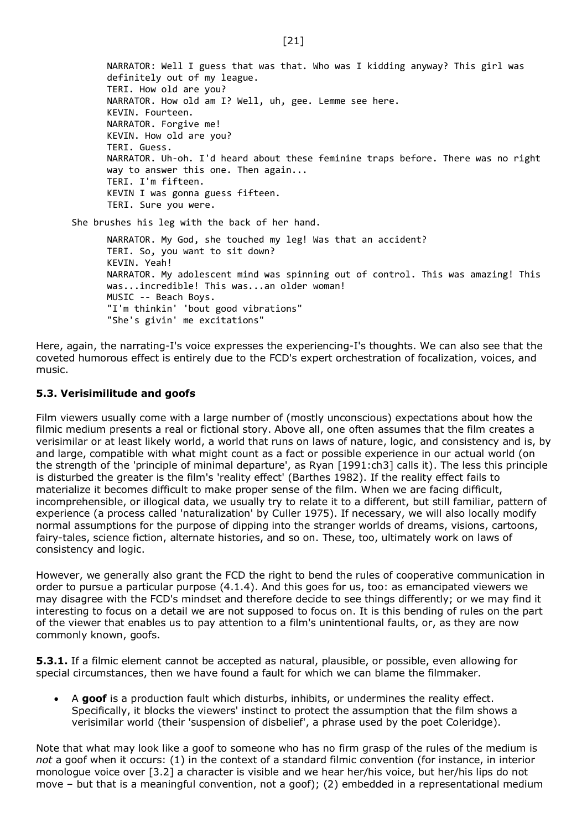NARRATOR: Well I guess that was that. Who was I kidding anyway? This girl was definitely out of my league. TERI. How old are you? NARRATOR. How old am I? Well, uh, gee. Lemme see here. KEVIN. Fourteen. NARRATOR. Forgive me! KEVIN. How old are you? TERI. Guess. NARRATOR. Uh-oh. I'd heard about these feminine traps before. There was no right way to answer this one. Then again... TERI. I'm fifteen. KEVIN I was gonna guess fifteen. TERI. Sure you were.

She brushes his leg with the back of her hand.

NARRATOR. My God, she touched my leg! Was that an accident? TERI. So, you want to sit down? KEVIN. Yeah! NARRATOR. My adolescent mind was spinning out of control. This was amazing! This was...incredible! This was...an older woman! MUSIC -- Beach Boys. "I'm thinkin' 'bout good vibrations" "She's givin' me excitations"

Here, again, the narrating-I's voice expresses the experiencing-I's thoughts. We can also see that the coveted humorous effect is entirely due to the FCD's expert orchestration of focalization, voices, and music.

### <span id="page-20-0"></span>**5.3. Verisimilitude and goofs**

Film viewers usually come with a large number of (mostly unconscious) expectations about how the filmic medium presents a real or fictional story. Above all, one often assumes that the film creates a verisimilar or at least likely world, a world that runs on laws of nature, logic, and consistency and is, by and large, compatible with what might count as a fact or possible experience in our actual world (on the strength of the 'principle of minimal departure', as Ryan [1991:ch3] calls it). The less this principle is disturbed the greater is the film's 'reality effect' (Barthes 1982). If the reality effect fails to materialize it becomes difficult to make proper sense of the film. When we are facing difficult, incomprehensible, or illogical data, we usually try to relate it to a different, but still familiar, pattern of experience (a process called 'naturalization' by Culler 1975). If necessary, we will also locally modify normal assumptions for the purpose of dipping into the stranger worlds of dreams, visions, cartoons, fairy-tales, science fiction, alternate histories, and so on. These, too, ultimately work on laws of consistency and logic.

However, we generally also grant the FCD the right to bend the rules of cooperative communication in order to pursue a particular purpose (4.1.4). And this goes for us, too: as emancipated viewers we may disagree with the FCD's mindset and therefore decide to see things differently; or we may find it interesting to focus on a detail we are not supposed to focus on. It is this bending of rules on the part of the viewer that enables us to pay attention to a film's unintentional faults, or, as they are now commonly known, goofs.

**5.3.1.** If a filmic element cannot be accepted as natural, plausible, or possible, even allowing for special circumstances, then we have found a fault for which we can blame the filmmaker.

• A **goof** is a production fault which disturbs, inhibits, or undermines the reality effect. Specifically, it blocks the viewers' instinct to protect the assumption that the film shows a verisimilar world (their 'suspension of disbelief', a phrase used by the poet Coleridge).

Note that what may look like a goof to someone who has no firm grasp of the rules of the medium is *not* a goof when it occurs: (1) in the context of a standard filmic convention (for instance, in interior monologue voice over [3.2] a character is visible and we hear her/his voice, but her/his lips do not move – but that is a meaningful convention, not a goof); (2) embedded in a representational medium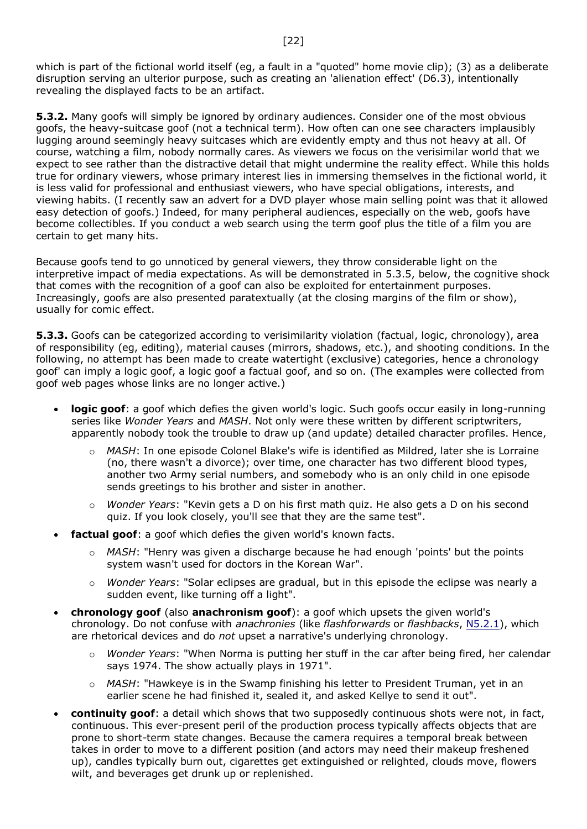which is part of the fictional world itself (eg, a fault in a "quoted" home movie clip); (3) as a deliberate disruption serving an ulterior purpose, such as creating an 'alienation effect' (D6.3), intentionally revealing the displayed facts to be an artifact.

**5.3.2.** Many goofs will simply be ignored by ordinary audiences. Consider one of the most obvious goofs, the heavy-suitcase goof (not a technical term). How often can one see characters implausibly lugging around seemingly heavy suitcases which are evidently empty and thus not heavy at all. Of course, watching a film, nobody normally cares. As viewers we focus on the verisimilar world that we expect to see rather than the distractive detail that might undermine the reality effect. While this holds true for ordinary viewers, whose primary interest lies in immersing themselves in the fictional world, it is less valid for professional and enthusiast viewers, who have special obligations, interests, and viewing habits. (I recently saw an advert for a DVD player whose main selling point was that it allowed easy detection of goofs.) Indeed, for many peripheral audiences, especially on the web, goofs have become collectibles. If you conduct a web search using the term goof plus the title of a film you are certain to get many hits.

Because goofs tend to go unnoticed by general viewers, they throw considerable light on the interpretive impact of media expectations. As will be demonstrated in 5.3.5, below, the cognitive shock that comes with the recognition of a goof can also be exploited for entertainment purposes. Increasingly, goofs are also presented paratextually (at the closing margins of the film or show), usually for comic effect.

**5.3.3.** Goofs can be categorized according to verisimilarity violation (factual, logic, chronology), area of responsibility (eg, editing), material causes (mirrors, shadows, etc.), and shooting conditions. In the following, no attempt has been made to create watertight (exclusive) categories, hence a chronology goof' can imply a logic goof, a logic goof a factual goof, and so on. (The examples were collected from goof web pages whose links are no longer active.)

- **logic goof**: a goof which defies the given world's logic. Such goofs occur easily in long-running series like *Wonder Years* and *MASH*. Not only were these written by different scriptwriters, apparently nobody took the trouble to draw up (and update) detailed character profiles. Hence,
	- o *MASH*: In one episode Colonel Blake's wife is identified as Mildred, later she is Lorraine (no, there wasn't a divorce); over time, one character has two different blood types, another two Army serial numbers, and somebody who is an only child in one episode sends greetings to his brother and sister in another.
	- o *Wonder Years*: "Kevin gets a D on his first math quiz. He also gets a D on his second quiz. If you look closely, you'll see that they are the same test".
- factual goof: a goof which defies the given world's known facts.
	- o *MASH*: "Henry was given a discharge because he had enough 'points' but the points system wasn't used for doctors in the Korean War".
	- o *Wonder Years*: "Solar eclipses are gradual, but in this episode the eclipse was nearly a sudden event, like turning off a light".
- **chronology goof** (also **anachronism goof**): a goof which upsets the given world's chronology. Do not confuse with *anachronies* (like *flashforwards* or *flashbacks*, [N5.2.1\)](file:///D:/bBO/Public_html%20Backup/pppn.htm%23N5.2.1), which are rhetorical devices and do *not* upset a narrative's underlying chronology.
	- o *Wonder Years*: "When Norma is putting her stuff in the car after being fired, her calendar says 1974. The show actually plays in 1971".
	- o *MASH*: "Hawkeye is in the Swamp finishing his letter to President Truman, yet in an earlier scene he had finished it, sealed it, and asked Kellye to send it out".
- **continuity goof**: a detail which shows that two supposedly continuous shots were not, in fact, continuous. This ever-present peril of the production process typically affects objects that are prone to short-term state changes. Because the camera requires a temporal break between takes in order to move to a different position (and actors may need their makeup freshened up), candles typically burn out, cigarettes get extinguished or relighted, clouds move, flowers wilt, and beverages get drunk up or replenished.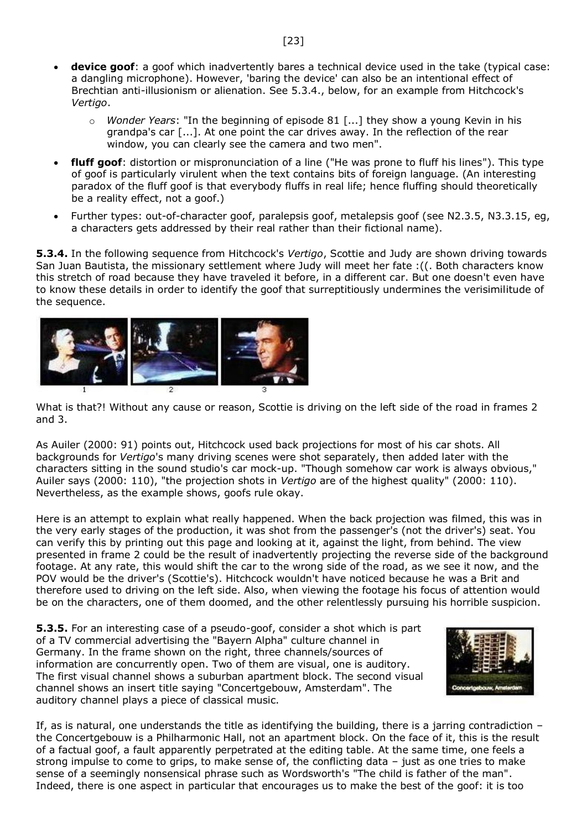- **device goof**: a goof which inadvertently bares a technical device used in the take (typical case: a dangling microphone). However, 'baring the device' can also be an intentional effect of Brechtian anti-illusionism or alienation. See 5.3.4., below, for an example from Hitchcock's *Vertigo*.
	- o *Wonder Years*: "In the beginning of episode 81 [...] they show a young Kevin in his grandpa's car [...]. At one point the car drives away. In the reflection of the rear window, you can clearly see the camera and two men".
- **fluff goof**: distortion or mispronunciation of a line ("He was prone to fluff his lines"). This type of goof is particularly virulent when the text contains bits of foreign language. (An interesting paradox of the fluff goof is that everybody fluffs in real life; hence fluffing should theoretically be a reality effect, not a goof.)
- Further types: out-of-character goof, paralepsis goof, metalepsis goof (see N2.3.5, N3.3.15, eg, a characters gets addressed by their real rather than their fictional name).

**5.3.4.** In the following sequence from Hitchcock's *Vertigo*, Scottie and Judy are shown driving towards San Juan Bautista, the missionary settlement where Judy will meet her fate :((. Both characters know this stretch of road because they have traveled it before, in a different car. But one doesn't even have to know these details in order to identify the goof that surreptitiously undermines the verisimilitude of the sequence.



What is that?! Without any cause or reason, Scottie is driving on the left side of the road in frames 2 and 3.

As Auiler (2000: 91) points out, Hitchcock used back projections for most of his car shots. All backgrounds for *Vertigo*'s many driving scenes were shot separately, then added later with the characters sitting in the sound studio's car mock-up. "Though somehow car work is always obvious," Auiler says (2000: 110), "the projection shots in *Vertigo* are of the highest quality" (2000: 110). Nevertheless, as the example shows, goofs rule okay.

Here is an attempt to explain what really happened. When the back projection was filmed, this was in the very early stages of the production, it was shot from the passenger's (not the driver's) seat. You can verify this by printing out this page and looking at it, against the light, from behind. The view presented in frame 2 could be the result of inadvertently projecting the reverse side of the background footage. At any rate, this would shift the car to the wrong side of the road, as we see it now, and the POV would be the driver's (Scottie's). Hitchcock wouldn't have noticed because he was a Brit and therefore used to driving on the left side. Also, when viewing the footage his focus of attention would be on the characters, one of them doomed, and the other relentlessly pursuing his horrible suspicion.

**5.3.5.** For an interesting case of a pseudo-goof, consider a shot which is part of a TV commercial advertising the "Bayern Alpha" culture channel in Germany. In the frame shown on the right, three channels/sources of information are concurrently open. Two of them are visual, one is auditory. The first visual channel shows a suburban apartment block. The second visual channel shows an insert title saying "Concertgebouw, Amsterdam". The auditory channel plays a piece of classical music.



If, as is natural, one understands the title as identifying the building, there is a jarring contradiction – the Concertgebouw is a Philharmonic Hall, not an apartment block. On the face of it, this is the result of a factual goof, a fault apparently perpetrated at the editing table. At the same time, one feels a strong impulse to come to grips, to make sense of, the conflicting data – just as one tries to make sense of a seemingly nonsensical phrase such as Wordsworth's "The child is father of the man". Indeed, there is one aspect in particular that encourages us to make the best of the goof: it is too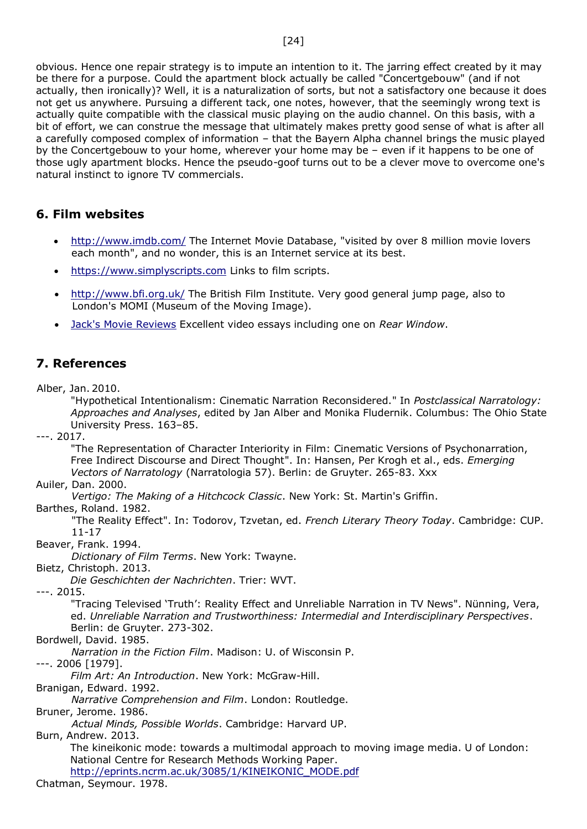obvious. Hence one repair strategy is to impute an intention to it. The jarring effect created by it may be there for a purpose. Could the apartment block actually be called "Concertgebouw" (and if not actually, then ironically)? Well, it is a naturalization of sorts, but not a satisfactory one because it does not get us anywhere. Pursuing a different tack, one notes, however, that the seemingly wrong text is actually quite compatible with the classical music playing on the audio channel. On this basis, with a bit of effort, we can construe the message that ultimately makes pretty good sense of what is after all a carefully composed complex of information – that the Bayern Alpha channel brings the music played by the Concertgebouw to your home, wherever your home may be – even if it happens to be one of those ugly apartment blocks. Hence the pseudo-goof turns out to be a clever move to overcome one's natural instinct to ignore TV commercials.

## <span id="page-23-0"></span>**6. Film websites**

- <http://www.imdb.com/> The Internet Movie Database, "visited by over 8 million movie lovers each month", and no wonder, this is an Internet service at its best.
- [https://www.simplyscripts.com](https://www.simplyscripts.com/) Links to film scripts.
- <http://www.bfi.org.uk/> The British Film Institute. Very good general jump page, also to London's MOMI (Museum of the Moving Image).
- [Jack's Movie Reviews](https://www.youtube.com/watch?v=e4Yw8hz3tG8) Excellent video essays including one on *Rear Window*.

## <span id="page-23-1"></span>**7. References**

Alber, Jan. 2010.

"Hypothetical Intentionalism: Cinematic Narration Reconsidered." In *Postclassical Narratology: Approaches and Analyses*, edited by Jan Alber and Monika Fludernik. Columbus: The Ohio State University Press. 163–85.

---. 2017.

"The Representation of Character Interiority in Film: Cinematic Versions of Psychonarration, Free Indirect Discourse and Direct Thought". In: Hansen, Per Krogh et al., eds. *Emerging Vectors of Narratology* (Narratologia 57). Berlin: de Gruyter. 265-83. Xxx

#### Auiler, Dan. 2000.

*Vertigo: The Making of a Hitchcock Classic*. New York: St. Martin's Griffin.

Barthes, Roland. 1982.

"The Reality Effect". In: Todorov, Tzvetan, ed. *French Literary Theory Today*. Cambridge: CUP. 11-17

Beaver, Frank. 1994.

*Dictionary of Film Terms*. New York: Twayne.

Bietz, Christoph. 2013.

*Die Geschichten der Nachrichten*. Trier: WVT.

---. 2015.

"Tracing Televised 'Truth': Reality Effect and Unreliable Narration in TV News". Nünning, Vera, ed. *Unreliable Narration and Trustworthiness: Intermedial and Interdisciplinary Perspectives*. Berlin: de Gruyter. 273-302.

Bordwell, David. 1985.

*Narration in the Fiction Film*. Madison: U. of Wisconsin P.

---. 2006 [1979].

*Film Art: An Introduction*. New York: McGraw-Hill.

Branigan, Edward. 1992.

*Narrative Comprehension and Film*. London: Routledge.

Bruner, Jerome. 1986.

*Actual Minds, Possible Worlds*. Cambridge: Harvard UP.

Burn, Andrew. 2013.

The kineikonic mode: towards a multimodal approach to moving image media. U of London: National Centre for Research Methods Working Paper.

[http://eprints.ncrm.ac.uk/3085/1/KINEIKONIC\\_MODE.pdf](http://eprints.ncrm.ac.uk/3085/1/KINEIKONIC_MODE.pdf)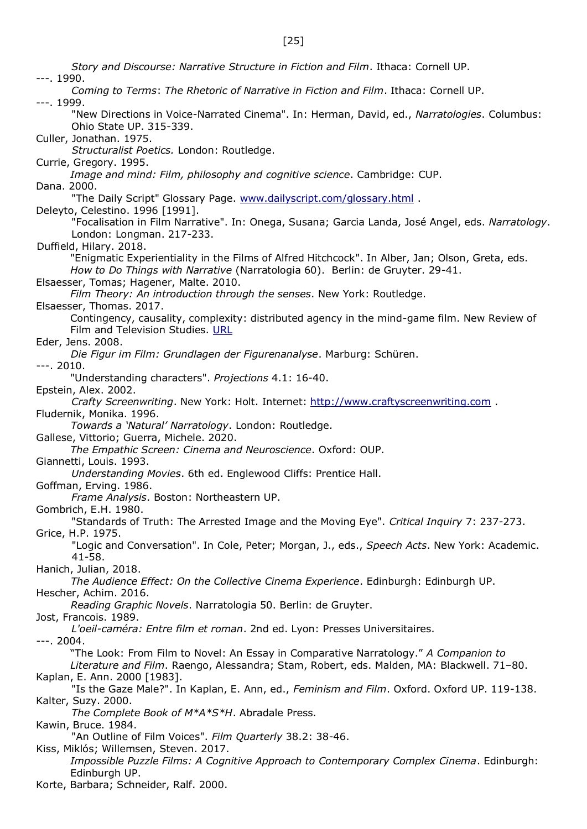[25]

*Story and Discourse: Narrative Structure in Fiction and Film*. Ithaca: Cornell UP. ---. 1990. *Coming to Terms*: *The Rhetoric of Narrative in Fiction and Film*. Ithaca: Cornell UP. ---. 1999. "New Directions in Voice-Narrated Cinema". In: Herman, David, ed., *Narratologies*. Columbus: Ohio State UP. 315-339. Culler, Jonathan. 1975. *Structuralist Poetics.* London: Routledge. Currie, Gregory. 1995. *Image and mind: Film, philosophy and cognitive science*. Cambridge: CUP. Dana. 2000. "The Daily Script" Glossary Page. [www.dailyscript.com/glossary.html](http://www.dailyscript.com/glossary.html) . Deleyto, Celestino. 1996 [1991]. "Focalisation in Film Narrative". In: Onega, Susana; Garcia Landa, José Angel, eds. *Narratology*. London: Longman. 217-233. Duffield, Hilary. 2018. "Enigmatic Experientiality in the Films of Alfred Hitchcock". In Alber, Jan; Olson, Greta, eds. *How to Do Things with Narrative* (Narratologia 60). Berlin: de Gruyter. 29-41. Elsaesser, Tomas; Hagener, Malte. 2010. *Film Theory: An introduction through the senses*. New York: Routledge. Elsaesser, Thomas. 2017. Contingency, causality, complexity: distributed agency in the mind-game film. New Review of Film and Television Studies. [URL](https://www.researchgate.net/publication/321954928_Contingency_causality_complexity_distributed_agency_in_the_mind-game_film_For_Warren_Buckland?enrichId=rgreq-a325ea551941394b676604e1fb68ac34-XXX&enrichSource=Y292ZXJQYWdlOzMyMTk1NDkyODtBUzo2OTE2MTIwNzgzMjU3NjBAMTU0MTkwNDU3NzQyNg%3D%3D&el=1_x_2&_esc=publicationCoverPdf) Eder, Jens. 2008. *Die Figur im Film: Grundlagen der Figurenanalyse*. Marburg: Schüren. ---. 2010. "Understanding characters". *Projections* 4.1: 16-40. Epstein, Alex. 2002. *Crafty Screenwriting*. New York: Holt. Internet: [http://www.craftyscreenwriting.com](http://www.craftyscreenwriting.com/) . Fludernik, Monika. 1996. *Towards a 'Natural' Narratology*. London: Routledge. Gallese, Vittorio; Guerra, Michele. 2020. *The Empathic Screen: Cinema and Neuroscience*. Oxford: OUP. Giannetti, Louis. 1993. *Understanding Movies*. 6th ed. Englewood Cliffs: Prentice Hall. Goffman, Erving. 1986. *Frame Analysis*. Boston: Northeastern UP. Gombrich, E.H. 1980. "Standards of Truth: The Arrested Image and the Moving Eye". *Critical Inquiry* 7: 237-273. Grice, H.P. 1975. "Logic and Conversation". In Cole, Peter; Morgan, J., eds., *Speech Acts*. New York: Academic. 41-58. Hanich, Julian, 2018. *The Audience Effect: On the Collective Cinema Experience*. Edinburgh: Edinburgh UP. Hescher, Achim. 2016. *Reading Graphic Novels*. Narratologia 50. Berlin: de Gruyter. Jost, Francois. 1989. *L'oeil-caméra: Entre film et roman*. 2nd ed. Lyon: Presses Universitaires. ---. 2004. "The Look: From Film to Novel: An Essay in Comparative Narratology." *A Companion to Literature and Film*. Raengo, Alessandra; Stam, Robert, eds. Malden, MA: Blackwell. 71–80. Kaplan, E. Ann. 2000 [1983]. "Is the Gaze Male?". In Kaplan, E. Ann, ed., *Feminism and Film*. Oxford. Oxford UP. 119-138. Kalter, Suzy. 2000. *The Complete Book of M\*A\*S\*H*. Abradale Press. Kawin, Bruce. 1984. "An Outline of Film Voices". *Film Quarterly* 38.2: 38-46. Kiss, Miklós; Willemsen, Steven. 2017. *Impossible Puzzle Films: A Cognitive Approach to Contemporary Complex Cinema*. Edinburgh: Edinburgh UP. Korte, Barbara; Schneider, Ralf. 2000.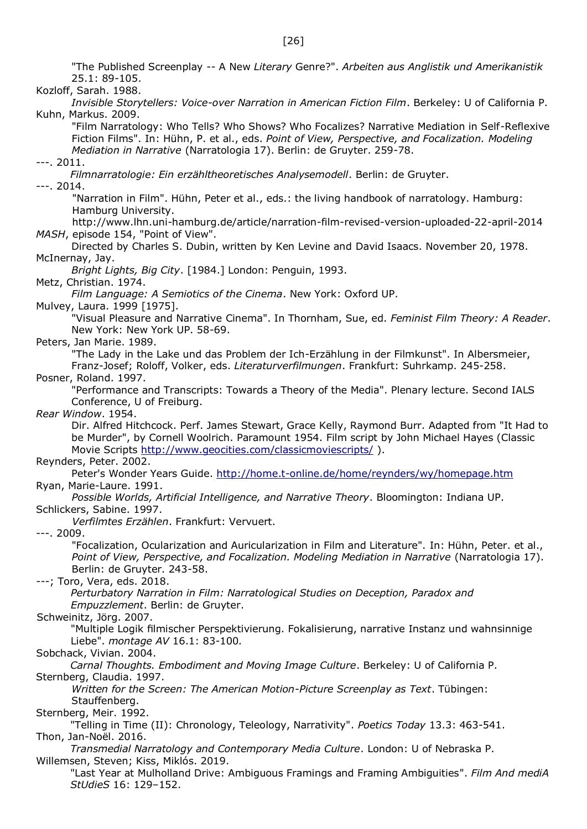"The Published Screenplay -- A New *Literary* Genre?". *Arbeiten aus Anglistik und Amerikanistik* 25.1: 89-105.

Kozloff, Sarah. 1988.

*Invisible Storytellers: Voice-over Narration in American Fiction Film*. Berkeley: U of California P. Kuhn, Markus. 2009.

"Film Narratology: Who Tells? Who Shows? Who Focalizes? Narrative Mediation in Self-Reflexive Fiction Films". In: Hühn, P. et al., eds. *Point of View, Perspective, and Focalization. Modeling Mediation in Narrative* (Narratologia 17). Berlin: de Gruyter. 259-78.

---. 2011.

*Filmnarratologie: Ein erzähltheoretisches Analysemodell*. Berlin: de Gruyter.

---. 2014.

"Narration in Film". Hühn, Peter et al., eds.: the living handbook of narratology. Hamburg: Hamburg University.

http://www.lhn.uni-hamburg.de/article/narration-film-revised-version-uploaded-22-april-2014 *MASH*, episode 154, "Point of View".

Directed by Charles S. Dubin, written by Ken Levine and David Isaacs. November 20, 1978. McInernay, Jay.

*Bright Lights, Big City*. [1984.] London: Penguin, 1993.

Metz, Christian. 1974.

*Film Language: A Semiotics of the Cinema*. New York: Oxford UP.

Mulvey, Laura. 1999 [1975].

"Visual Pleasure and Narrative Cinema". In Thornham, Sue, ed. *Feminist Film Theory: A Reader*. New York: New York UP. 58-69.

Peters, Jan Marie. 1989.

"The Lady in the Lake und das Problem der Ich-Erzählung in der Filmkunst". In Albersmeier, Franz-Josef; Roloff, Volker, eds. *Literaturverfilmungen*. Frankfurt: Suhrkamp. 245-258.

Posner, Roland. 1997.

"Performance and Transcripts: Towards a Theory of the Media". Plenary lecture. Second IALS Conference, U of Freiburg.

*Rear Window*. 1954.

Dir. Alfred Hitchcock. Perf. James Stewart, Grace Kelly, Raymond Burr. Adapted from "It Had to be Murder", by Cornell Woolrich. Paramount 1954. Film script by John Michael Hayes (Classic Movie Scripts<http://www.geocities.com/classicmoviescripts/> ).

Reynders, Peter. 2002.

Peter's Wonder Years Guide.<http://home.t-online.de/home/reynders/wy/homepage.htm> Ryan, Marie-Laure. 1991.

*Possible Worlds, Artificial Intelligence, and Narrative Theory*. Bloomington: Indiana UP.

Schlickers, Sabine. 1997.

*Verfilmtes Erzählen*. Frankfurt: Vervuert.

---. 2009.

"Focalization, Ocularization and Auricularization in Film and Literature". In: Hühn, Peter. et al., *Point of View, Perspective, and Focalization. Modeling Mediation in Narrative* (Narratologia 17). Berlin: de Gruyter. 243-58.

---; Toro, Vera, eds. 2018.

*Perturbatory Narration in Film: Narratological Studies on Deception, Paradox and Empuzzlement*. Berlin: de Gruyter.

Schweinitz, Jörg. 2007.

"Multiple Logik filmischer Perspektivierung. Fokalisierung, narrative Instanz und wahnsinnige Liebe". *montage AV* 16.1: 83-100*.*

Sobchack, Vivian. 2004.

*Carnal Thoughts. Embodiment and Moving Image Culture*. Berkeley: U of California P. Sternberg, Claudia. 1997.

*Written for the Screen: The American Motion-Picture Screenplay as Text*. Tübingen: Stauffenberg.

Sternberg, Meir. 1992.

"Telling in Time (II): Chronology, Teleology, Narrativity". *Poetics Today* 13.3: 463-541. Thon, Jan-Noël. 2016.

*Transmedial Narratology and Contemporary Media Culture*. London: U of Nebraska P. Willemsen, Steven; Kiss, Miklós. 2019.

"Last Year at Mulholland Drive: Ambiguous Framings and Framing Ambiguities". *Film And mediA StUdieS* 16: 129–152.